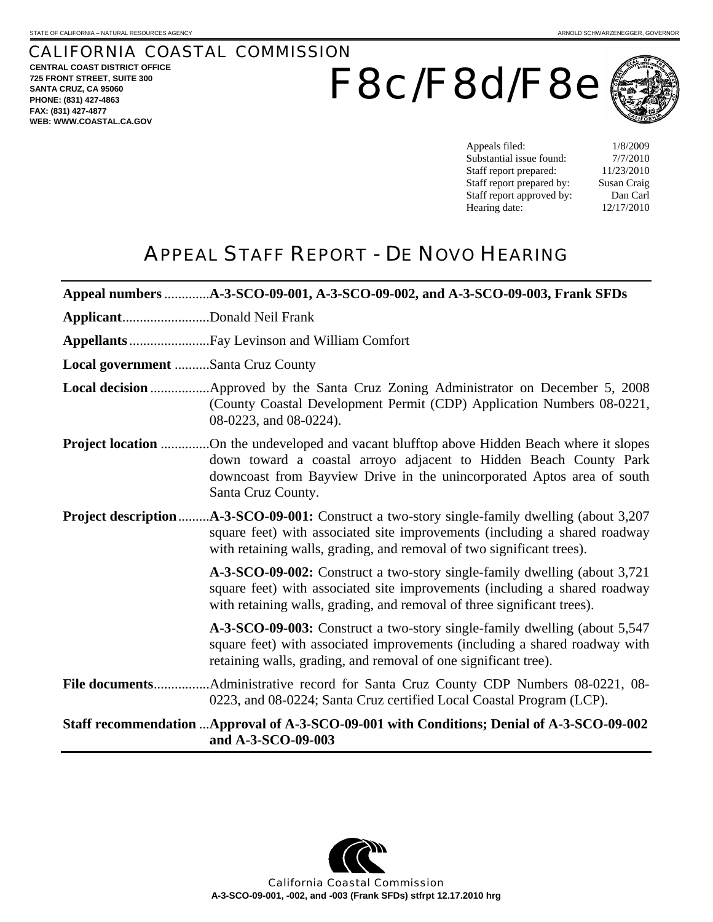## CALIFORNIA COASTAL COMMISSION **CENTRAL COAST DISTRICT OFFICE**

**725 FRONT STREET, SUITE 300 SANTA CRUZ, CA 95060 PHONE: (831) 427-4863 FAX: (831) 427-4877 WEB: WWW.COASTAL.CA.GOV**

# F8c/F8d/F8e



Appeals filed: 1/8/2009 Substantial issue found:  $7/7/2010$ Staff report prepared: 11/23/2010 Staff report prepared by: Susan Craig Staff report approved by: Dan Carl Hearing date: 12/17/2010

# APPEAL STAFF REPORT - DE NOVO HEARING

|                                                                                                                 | Appeal numbers A-3-SCO-09-001, A-3-SCO-09-002, and A-3-SCO-09-003, Frank SFDs                                                                                                                                                                                          |  |  |  |  |
|-----------------------------------------------------------------------------------------------------------------|------------------------------------------------------------------------------------------------------------------------------------------------------------------------------------------------------------------------------------------------------------------------|--|--|--|--|
| ApplicantDonald Neil Frank                                                                                      |                                                                                                                                                                                                                                                                        |  |  |  |  |
|                                                                                                                 |                                                                                                                                                                                                                                                                        |  |  |  |  |
| Local government Santa Cruz County                                                                              |                                                                                                                                                                                                                                                                        |  |  |  |  |
|                                                                                                                 | (County Coastal Development Permit (CDP) Application Numbers 08-0221,<br>08-0223, and 08-0224).                                                                                                                                                                        |  |  |  |  |
|                                                                                                                 | <b>Project location</b> On the undeveloped and vacant blufftop above Hidden Beach where it slopes<br>down toward a coastal arroyo adjacent to Hidden Beach County Park<br>downcoast from Bayview Drive in the unincorporated Aptos area of south<br>Santa Cruz County. |  |  |  |  |
| Project description                                                                                             | .A-3-SCO-09-001: Construct a two-story single-family dwelling (about 3,207)<br>square feet) with associated site improvements (including a shared roadway<br>with retaining walls, grading, and removal of two significant trees).                                     |  |  |  |  |
|                                                                                                                 | A-3-SCO-09-002: Construct a two-story single-family dwelling (about 3,721)<br>square feet) with associated site improvements (including a shared roadway<br>with retaining walls, grading, and removal of three significant trees).                                    |  |  |  |  |
|                                                                                                                 | A-3-SCO-09-003: Construct a two-story single-family dwelling (about 5,547)<br>square feet) with associated improvements (including a shared roadway with<br>retaining walls, grading, and removal of one significant tree).                                            |  |  |  |  |
|                                                                                                                 | 0223, and 08-0224; Santa Cruz certified Local Coastal Program (LCP).                                                                                                                                                                                                   |  |  |  |  |
| Staff recommendation Approval of A-3-SCO-09-001 with Conditions; Denial of A-3-SCO-09-002<br>and A-3-SCO-09-003 |                                                                                                                                                                                                                                                                        |  |  |  |  |



California Coastal Commission **A-3-SCO-09-001, -002, and -003 (Frank SFDs) stfrpt 12.17.2010 hrg**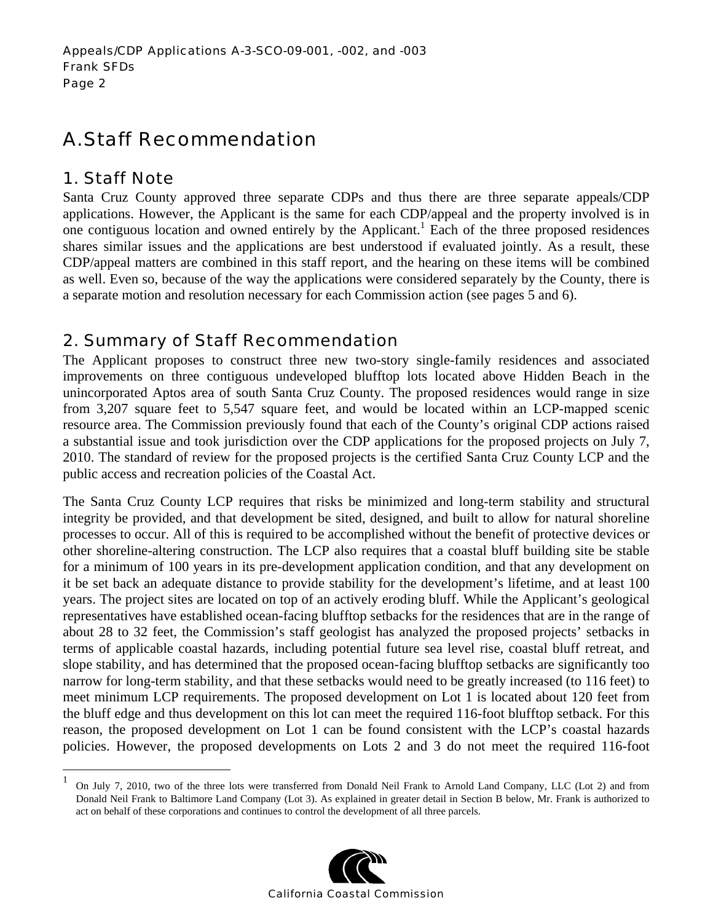# A. Staff Recommendation

## 1. Staff Note

 $\overline{a}$ 

Santa Cruz County approved three separate CDPs and thus there are three separate appeals/CDP applications. However, the Applicant is the same for each CDP/appeal and the property involved is in one contiguous location and owned entirely by the Applicant.<sup>1</sup> Each of the three proposed residences shares similar issues and the applications are best understood if evaluated jointly. As a result, these CDP/appeal matters are combined in this staff report, and the hearing on these items will be combined as well. Even so, because of the way the applications were considered separately by the County, there is a separate motion and resolution necessary for each Commission action (see pages 5 and 6).

# 2. Summary of Staff Recommendation

The Applicant proposes to construct three new two-story single-family residences and associated improvements on three contiguous undeveloped blufftop lots located above Hidden Beach in the unincorporated Aptos area of south Santa Cruz County. The proposed residences would range in size from 3,207 square feet to 5,547 square feet, and would be located within an LCP-mapped scenic resource area. The Commission previously found that each of the County's original CDP actions raised a substantial issue and took jurisdiction over the CDP applications for the proposed projects on July 7, 2010. The standard of review for the proposed projects is the certified Santa Cruz County LCP and the public access and recreation policies of the Coastal Act.

The Santa Cruz County LCP requires that risks be minimized and long-term stability and structural integrity be provided, and that development be sited, designed, and built to allow for natural shoreline processes to occur. All of this is required to be accomplished without the benefit of protective devices or other shoreline-altering construction. The LCP also requires that a coastal bluff building site be stable for a minimum of 100 years in its pre-development application condition, and that any development on it be set back an adequate distance to provide stability for the development's lifetime, and at least 100 years. The project sites are located on top of an actively eroding bluff. While the Applicant's geological representatives have established ocean-facing blufftop setbacks for the residences that are in the range of about 28 to 32 feet, the Commission's staff geologist has analyzed the proposed projects' setbacks in terms of applicable coastal hazards, including potential future sea level rise, coastal bluff retreat, and slope stability, and has determined that the proposed ocean-facing blufftop setbacks are significantly too narrow for long-term stability, and that these setbacks would need to be greatly increased (to 116 feet) to meet minimum LCP requirements. The proposed development on Lot 1 is located about 120 feet from the bluff edge and thus development on this lot can meet the required 116-foot blufftop setback. For this reason, the proposed development on Lot 1 can be found consistent with the LCP's coastal hazards policies. However, the proposed developments on Lots 2 and 3 do not meet the required 116-foot

<sup>1</sup> On July 7, 2010, two of the three lots were transferred from Donald Neil Frank to Arnold Land Company, LLC (Lot 2) and from Donald Neil Frank to Baltimore Land Company (Lot 3). As explained in greater detail in Section B below, Mr. Frank is authorized to act on behalf of these corporations and continues to control the development of all three parcels.

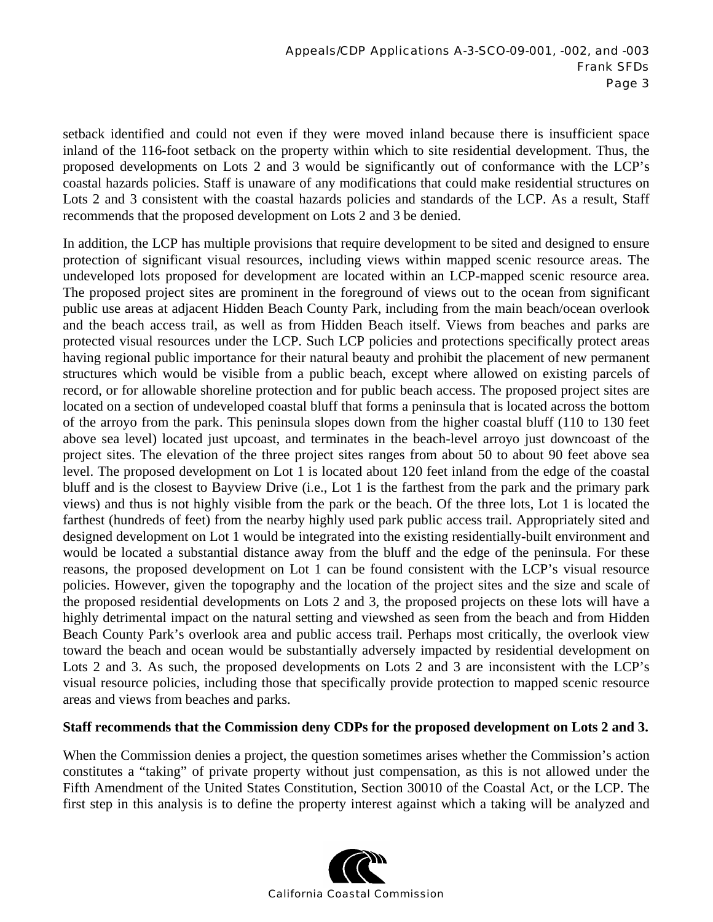setback identified and could not even if they were moved inland because there is insufficient space inland of the 116-foot setback on the property within which to site residential development. Thus, the proposed developments on Lots 2 and 3 would be significantly out of conformance with the LCP's coastal hazards policies. Staff is unaware of any modifications that could make residential structures on Lots 2 and 3 consistent with the coastal hazards policies and standards of the LCP. As a result, Staff recommends that the proposed development on Lots 2 and 3 be denied.

In addition, the LCP has multiple provisions that require development to be sited and designed to ensure protection of significant visual resources, including views within mapped scenic resource areas. The undeveloped lots proposed for development are located within an LCP-mapped scenic resource area. The proposed project sites are prominent in the foreground of views out to the ocean from significant public use areas at adjacent Hidden Beach County Park, including from the main beach/ocean overlook and the beach access trail, as well as from Hidden Beach itself. Views from beaches and parks are protected visual resources under the LCP. Such LCP policies and protections specifically protect areas having regional public importance for their natural beauty and prohibit the placement of new permanent structures which would be visible from a public beach, except where allowed on existing parcels of record, or for allowable shoreline protection and for public beach access. The proposed project sites are located on a section of undeveloped coastal bluff that forms a peninsula that is located across the bottom of the arroyo from the park. This peninsula slopes down from the higher coastal bluff (110 to 130 feet above sea level) located just upcoast, and terminates in the beach-level arroyo just downcoast of the project sites. The elevation of the three project sites ranges from about 50 to about 90 feet above sea level. The proposed development on Lot 1 is located about 120 feet inland from the edge of the coastal bluff and is the closest to Bayview Drive (i.e., Lot 1 is the farthest from the park and the primary park views) and thus is not highly visible from the park or the beach. Of the three lots, Lot 1 is located the farthest (hundreds of feet) from the nearby highly used park public access trail. Appropriately sited and designed development on Lot 1 would be integrated into the existing residentially-built environment and would be located a substantial distance away from the bluff and the edge of the peninsula. For these reasons, the proposed development on Lot 1 can be found consistent with the LCP's visual resource policies. However, given the topography and the location of the project sites and the size and scale of the proposed residential developments on Lots 2 and 3, the proposed projects on these lots will have a highly detrimental impact on the natural setting and viewshed as seen from the beach and from Hidden Beach County Park's overlook area and public access trail. Perhaps most critically, the overlook view toward the beach and ocean would be substantially adversely impacted by residential development on Lots 2 and 3. As such, the proposed developments on Lots 2 and 3 are inconsistent with the LCP's visual resource policies, including those that specifically provide protection to mapped scenic resource areas and views from beaches and parks.

#### **Staff recommends that the Commission deny CDPs for the proposed development on Lots 2 and 3.**

When the Commission denies a project, the question sometimes arises whether the Commission's action constitutes a "taking" of private property without just compensation, as this is not allowed under the Fifth Amendment of the United States Constitution, Section 30010 of the Coastal Act, or the LCP. The first step in this analysis is to define the property interest against which a taking will be analyzed and

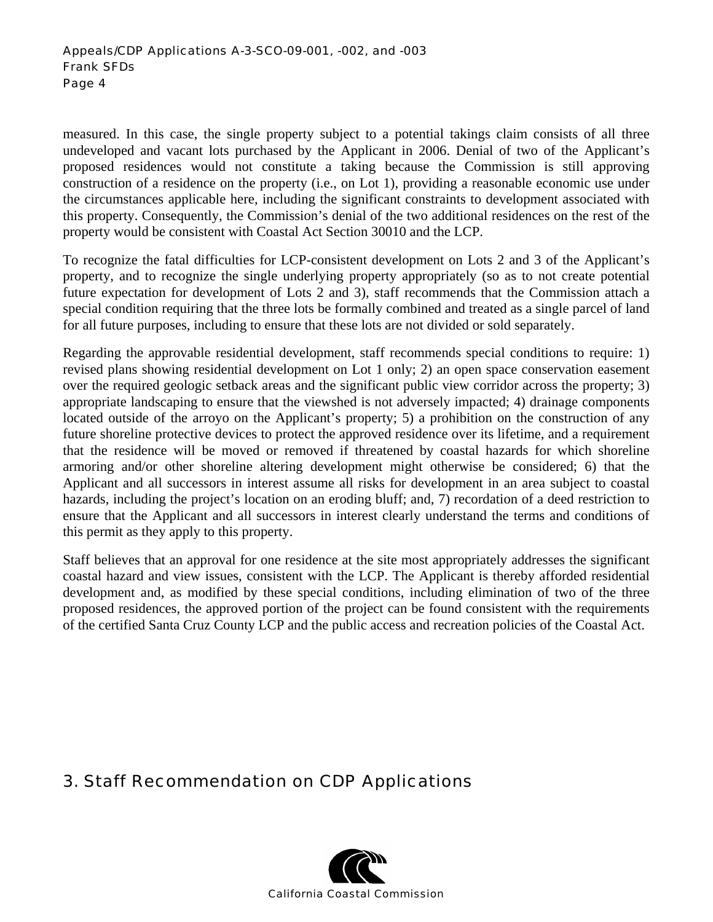measured. In this case, the single property subject to a potential takings claim consists of all three undeveloped and vacant lots purchased by the Applicant in 2006. Denial of two of the Applicant's proposed residences would not constitute a taking because the Commission is still approving construction of a residence on the property (i.e., on Lot 1), providing a reasonable economic use under the circumstances applicable here, including the significant constraints to development associated with this property. Consequently, the Commission's denial of the two additional residences on the rest of the property would be consistent with Coastal Act Section 30010 and the LCP.

To recognize the fatal difficulties for LCP-consistent development on Lots 2 and 3 of the Applicant's property, and to recognize the single underlying property appropriately (so as to not create potential future expectation for development of Lots 2 and 3), staff recommends that the Commission attach a special condition requiring that the three lots be formally combined and treated as a single parcel of land for all future purposes, including to ensure that these lots are not divided or sold separately.

Regarding the approvable residential development, staff recommends special conditions to require: 1) revised plans showing residential development on Lot 1 only; 2) an open space conservation easement over the required geologic setback areas and the significant public view corridor across the property; 3) appropriate landscaping to ensure that the viewshed is not adversely impacted; 4) drainage components located outside of the arroyo on the Applicant's property; 5) a prohibition on the construction of any future shoreline protective devices to protect the approved residence over its lifetime, and a requirement that the residence will be moved or removed if threatened by coastal hazards for which shoreline armoring and/or other shoreline altering development might otherwise be considered; 6) that the Applicant and all successors in interest assume all risks for development in an area subject to coastal hazards, including the project's location on an eroding bluff; and, 7) recordation of a deed restriction to ensure that the Applicant and all successors in interest clearly understand the terms and conditions of this permit as they apply to this property.

Staff believes that an approval for one residence at the site most appropriately addresses the significant coastal hazard and view issues, consistent with the LCP. The Applicant is thereby afforded residential development and, as modified by these special conditions, including elimination of two of the three proposed residences, the approved portion of the project can be found consistent with the requirements of the certified Santa Cruz County LCP and the public access and recreation policies of the Coastal Act.

## 3. Staff Recommendation on CDP Applications

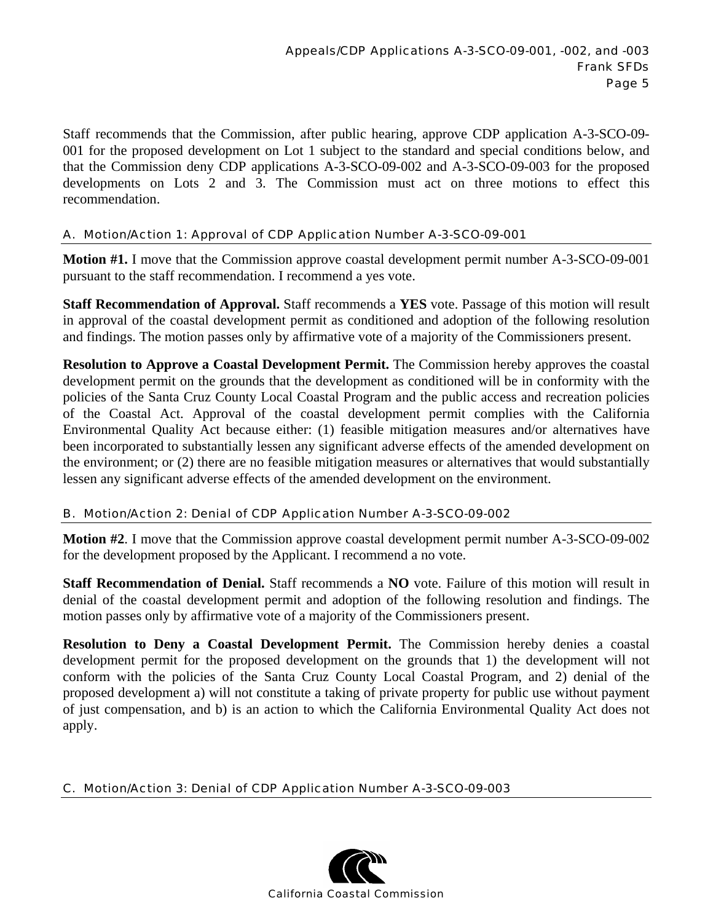Staff recommends that the Commission, after public hearing, approve CDP application A-3-SCO-09- 001 for the proposed development on Lot 1 subject to the standard and special conditions below, and that the Commission deny CDP applications A-3-SCO-09-002 and A-3-SCO-09-003 for the proposed developments on Lots 2 and 3. The Commission must act on three motions to effect this recommendation.

#### A. Motion/Action 1: Approval of CDP Application Number A-3-SCO-09-001

**Motion #1.** I move that the Commission approve coastal development permit number A-3-SCO-09-001 pursuant to the staff recommendation. I recommend a yes vote.

**Staff Recommendation of Approval.** Staff recommends a **YES** vote. Passage of this motion will result in approval of the coastal development permit as conditioned and adoption of the following resolution and findings. The motion passes only by affirmative vote of a majority of the Commissioners present.

**Resolution to Approve a Coastal Development Permit.** The Commission hereby approves the coastal development permit on the grounds that the development as conditioned will be in conformity with the policies of the Santa Cruz County Local Coastal Program and the public access and recreation policies of the Coastal Act. Approval of the coastal development permit complies with the California Environmental Quality Act because either: (1) feasible mitigation measures and/or alternatives have been incorporated to substantially lessen any significant adverse effects of the amended development on the environment; or (2) there are no feasible mitigation measures or alternatives that would substantially lessen any significant adverse effects of the amended development on the environment.

#### B. Motion/Action 2: Denial of CDP Application Number A-3-SCO-09-002

**Motion #2**. I move that the Commission approve coastal development permit number A-3-SCO-09-002 for the development proposed by the Applicant. I recommend a no vote.

**Staff Recommendation of Denial.** Staff recommends a **NO** vote. Failure of this motion will result in denial of the coastal development permit and adoption of the following resolution and findings. The motion passes only by affirmative vote of a majority of the Commissioners present.

**Resolution to Deny a Coastal Development Permit.** The Commission hereby denies a coastal development permit for the proposed development on the grounds that 1) the development will not conform with the policies of the Santa Cruz County Local Coastal Program, and 2) denial of the proposed development a) will not constitute a taking of private property for public use without payment of just compensation, and b) is an action to which the California Environmental Quality Act does not apply.

#### C. Motion/Action 3: Denial of CDP Application Number A-3-SCO-09-003

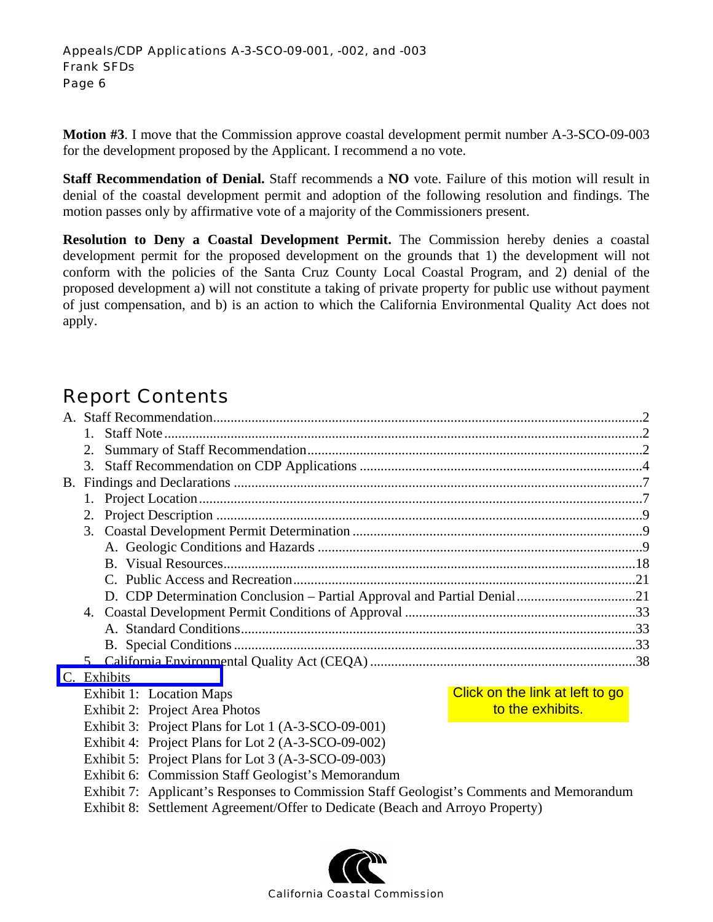**Motion #3**. I move that the Commission approve coastal development permit number A-3-SCO-09-003 for the development proposed by the Applicant. I recommend a no vote.

**Staff Recommendation of Denial.** Staff recommends a **NO** vote. Failure of this motion will result in denial of the coastal development permit and adoption of the following resolution and findings. The motion passes only by affirmative vote of a majority of the Commissioners present.

**Resolution to Deny a Coastal Development Permit.** The Commission hereby denies a coastal development permit for the proposed development on the grounds that 1) the development will not conform with the policies of the Santa Cruz County Local Coastal Program, and 2) denial of the proposed development a) will not constitute a taking of private property for public use without payment of just compensation, and b) is an action to which the California Environmental Quality Act does not apply.

# Report Contents

|                                                                                                                                                | 2.                                                          |  |  |  |  |  |
|------------------------------------------------------------------------------------------------------------------------------------------------|-------------------------------------------------------------|--|--|--|--|--|
|                                                                                                                                                | 3.                                                          |  |  |  |  |  |
| <b>B.</b>                                                                                                                                      |                                                             |  |  |  |  |  |
|                                                                                                                                                |                                                             |  |  |  |  |  |
| 2.                                                                                                                                             |                                                             |  |  |  |  |  |
|                                                                                                                                                |                                                             |  |  |  |  |  |
|                                                                                                                                                |                                                             |  |  |  |  |  |
|                                                                                                                                                |                                                             |  |  |  |  |  |
|                                                                                                                                                |                                                             |  |  |  |  |  |
| D. CDP Determination Conclusion - Partial Approval and Partial Denial21                                                                        |                                                             |  |  |  |  |  |
|                                                                                                                                                | 4.                                                          |  |  |  |  |  |
|                                                                                                                                                |                                                             |  |  |  |  |  |
|                                                                                                                                                |                                                             |  |  |  |  |  |
|                                                                                                                                                |                                                             |  |  |  |  |  |
|                                                                                                                                                | C. Exhibits                                                 |  |  |  |  |  |
|                                                                                                                                                | Click on the link at left to go<br>Exhibit 1: Location Maps |  |  |  |  |  |
|                                                                                                                                                | to the exhibits.<br>Exhibit 2: Project Area Photos          |  |  |  |  |  |
|                                                                                                                                                | Exhibit 3: Project Plans for Lot 1 (A-3-SCO-09-001)         |  |  |  |  |  |
|                                                                                                                                                | Exhibit 4: Project Plans for Lot 2 (A-3-SCO-09-002)         |  |  |  |  |  |
| Exhibit 5: Project Plans for Lot 3 (A-3-SCO-09-003)                                                                                            |                                                             |  |  |  |  |  |
| Exhibit 6: Commission Staff Geologist's Memorandum<br>Exhibit 7: Applicant's Responses to Commission Staff Geologist's Comments and Memorandum |                                                             |  |  |  |  |  |
|                                                                                                                                                |                                                             |  |  |  |  |  |
|                                                                                                                                                |                                                             |  |  |  |  |  |
|                                                                                                                                                | <b>California Coastal Commission</b>                        |  |  |  |  |  |

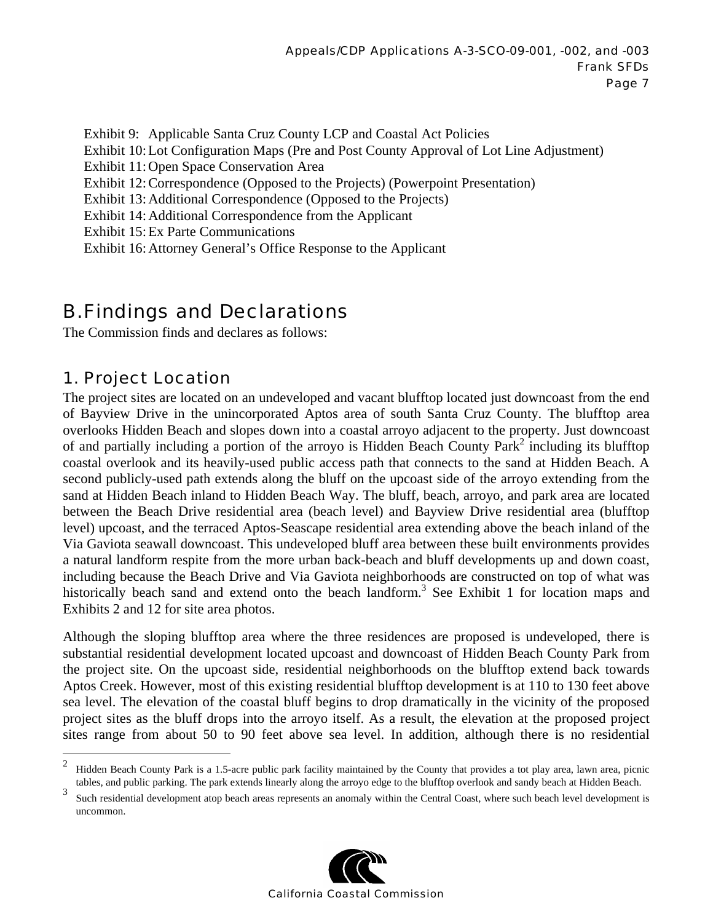Exhibit 9: Applicable Santa Cruz County LCP and Coastal Act Policies Exhibit 10: Lot Configuration Maps (Pre and Post County Approval of Lot Line Adjustment) Exhibit 11: Open Space Conservation Area Exhibit 12: Correspondence (Opposed to the Projects) (Powerpoint Presentation) Exhibit 13: Additional Correspondence (Opposed to the Projects) Exhibit 14: Additional Correspondence from the Applicant Exhibit 15: Ex Parte Communications Exhibit 16: Attorney General's Office Response to the Applicant

# B. Findings and Declarations

The Commission finds and declares as follows:

## 1. Project Location

 $\overline{a}$ 

The project sites are located on an undeveloped and vacant blufftop located just downcoast from the end of Bayview Drive in the unincorporated Aptos area of south Santa Cruz County. The blufftop area overlooks Hidden Beach and slopes down into a coastal arroyo adjacent to the property. Just downcoast of and partially including a portion of the arroyo is Hidden Beach County Park<sup>2</sup> including its blufftop coastal overlook and its heavily-used public access path that connects to the sand at Hidden Beach. A second publicly-used path extends along the bluff on the upcoast side of the arroyo extending from the sand at Hidden Beach inland to Hidden Beach Way. The bluff, beach, arroyo, and park area are located between the Beach Drive residential area (beach level) and Bayview Drive residential area (blufftop level) upcoast, and the terraced Aptos-Seascape residential area extending above the beach inland of the Via Gaviota seawall downcoast. This undeveloped bluff area between these built environments provides a natural landform respite from the more urban back-beach and bluff developments up and down coast, including because the Beach Drive and Via Gaviota neighborhoods are constructed on top of what was historically beach sand and extend onto the beach landform.<sup>3</sup> See Exhibit 1 for location maps and Exhibits 2 and 12 for site area photos.

Although the sloping blufftop area where the three residences are proposed is undeveloped, there is substantial residential development located upcoast and downcoast of Hidden Beach County Park from the project site. On the upcoast side, residential neighborhoods on the blufftop extend back towards Aptos Creek. However, most of this existing residential blufftop development is at 110 to 130 feet above sea level. The elevation of the coastal bluff begins to drop dramatically in the vicinity of the proposed project sites as the bluff drops into the arroyo itself. As a result, the elevation at the proposed project sites range from about 50 to 90 feet above sea level. In addition, although there is no residential

<sup>3</sup> Such residential development atop beach areas represents an anomaly within the Central Coast, where such beach level development is uncommon.



<sup>2</sup> Hidden Beach County Park is a 1.5-acre public park facility maintained by the County that provides a tot play area, lawn area, picnic tables, and public parking. The park extends linearly along the arroyo edge to the blufftop overlook and sandy beach at Hidden Beach.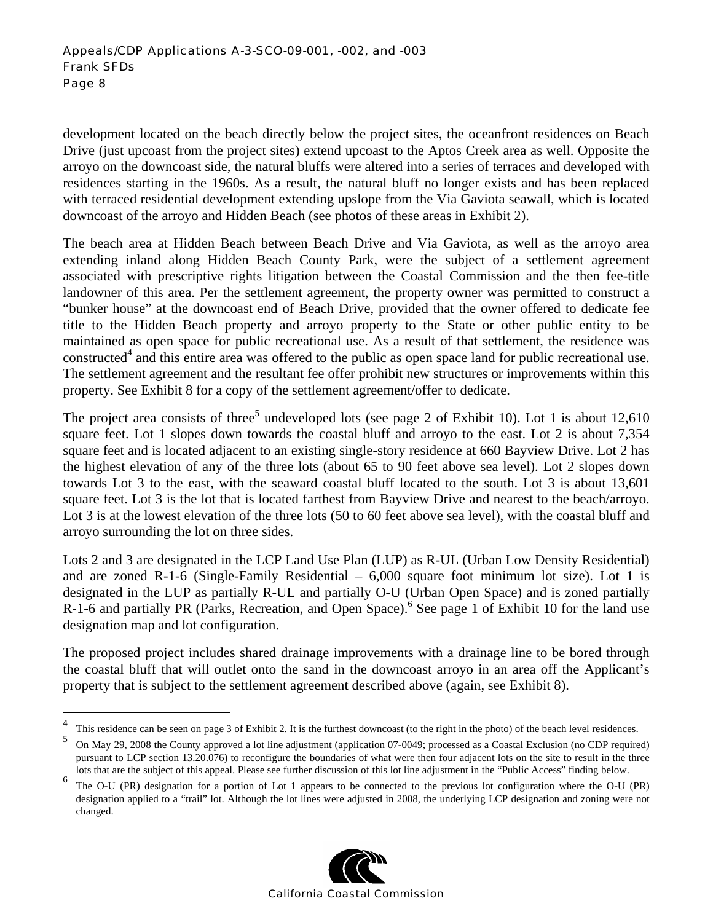development located on the beach directly below the project sites, the oceanfront residences on Beach Drive (just upcoast from the project sites) extend upcoast to the Aptos Creek area as well. Opposite the arroyo on the downcoast side, the natural bluffs were altered into a series of terraces and developed with residences starting in the 1960s. As a result, the natural bluff no longer exists and has been replaced with terraced residential development extending upslope from the Via Gaviota seawall, which is located downcoast of the arroyo and Hidden Beach (see photos of these areas in Exhibit 2).

The beach area at Hidden Beach between Beach Drive and Via Gaviota, as well as the arroyo area extending inland along Hidden Beach County Park, were the subject of a settlement agreement associated with prescriptive rights litigation between the Coastal Commission and the then fee-title landowner of this area. Per the settlement agreement, the property owner was permitted to construct a "bunker house" at the downcoast end of Beach Drive, provided that the owner offered to dedicate fee title to the Hidden Beach property and arroyo property to the State or other public entity to be maintained as open space for public recreational use. As a result of that settlement, the residence was constructed<sup>4</sup> and this entire area was offered to the public as open space land for public recreational use. The settlement agreement and the resultant fee offer prohibit new structures or improvements within this property. See Exhibit 8 for a copy of the settlement agreement/offer to dedicate.

The project area consists of three<sup>5</sup> undeveloped lots (see page 2 of Exhibit 10). Lot 1 is about 12,610 square feet. Lot 1 slopes down towards the coastal bluff and arroyo to the east. Lot 2 is about 7,354 square feet and is located adjacent to an existing single-story residence at 660 Bayview Drive. Lot 2 has the highest elevation of any of the three lots (about 65 to 90 feet above sea level). Lot 2 slopes down towards Lot 3 to the east, with the seaward coastal bluff located to the south. Lot 3 is about 13,601 square feet. Lot 3 is the lot that is located farthest from Bayview Drive and nearest to the beach/arroyo. Lot 3 is at the lowest elevation of the three lots (50 to 60 feet above sea level), with the coastal bluff and arroyo surrounding the lot on three sides.

Lots 2 and 3 are designated in the LCP Land Use Plan (LUP) as R-UL (Urban Low Density Residential) and are zoned R-1-6 (Single-Family Residential  $-6,000$  square foot minimum lot size). Lot 1 is designated in the LUP as partially R-UL and partially O-U (Urban Open Space) and is zoned partially R-1-6 and partially PR (Parks, Recreation, and Open Space). See page 1 of Exhibit 10 for the land use designation map and lot configuration.

The proposed project includes shared drainage improvements with a drainage line to be bored through the coastal bluff that will outlet onto the sand in the downcoast arroyo in an area off the Applicant's property that is subject to the settlement agreement described above (again, see Exhibit 8).

<sup>6</sup> The O-U (PR) designation for a portion of Lot 1 appears to be connected to the previous lot configuration where the O-U (PR) designation applied to a "trail" lot. Although the lot lines were adjusted in 2008, the underlying LCP designation and zoning were not changed.



 $\frac{1}{4}$ This residence can be seen on page 3 of Exhibit 2. It is the furthest downcoast (to the right in the photo) of the beach level residences.

<sup>5</sup> On May 29, 2008 the County approved a lot line adjustment (application 07-0049; processed as a Coastal Exclusion (no CDP required) pursuant to LCP section 13.20.076) to reconfigure the boundaries of what were then four adjacent lots on the site to result in the three lots that are the subject of this appeal. Please see further discussion of this lot line adjustment in the "Public Access" finding below.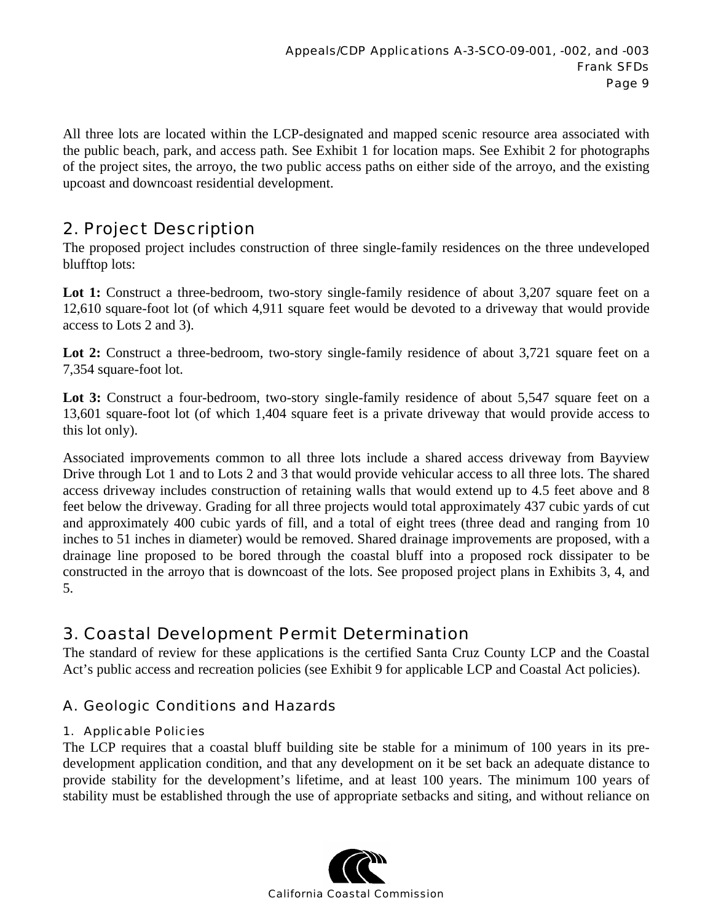All three lots are located within the LCP-designated and mapped scenic resource area associated with the public beach, park, and access path. See Exhibit 1 for location maps. See Exhibit 2 for photographs of the project sites, the arroyo, the two public access paths on either side of the arroyo, and the existing upcoast and downcoast residential development.

## 2. Project Description

The proposed project includes construction of three single-family residences on the three undeveloped blufftop lots:

Lot 1: Construct a three-bedroom, two-story single-family residence of about 3,207 square feet on a 12,610 square-foot lot (of which 4,911 square feet would be devoted to a driveway that would provide access to Lots 2 and 3).

Lot 2: Construct a three-bedroom, two-story single-family residence of about 3,721 square feet on a 7,354 square-foot lot.

Lot 3: Construct a four-bedroom, two-story single-family residence of about 5,547 square feet on a 13,601 square-foot lot (of which 1,404 square feet is a private driveway that would provide access to this lot only).

Associated improvements common to all three lots include a shared access driveway from Bayview Drive through Lot 1 and to Lots 2 and 3 that would provide vehicular access to all three lots. The shared access driveway includes construction of retaining walls that would extend up to 4.5 feet above and 8 feet below the driveway. Grading for all three projects would total approximately 437 cubic yards of cut and approximately 400 cubic yards of fill, and a total of eight trees (three dead and ranging from 10 inches to 51 inches in diameter) would be removed. Shared drainage improvements are proposed, with a drainage line proposed to be bored through the coastal bluff into a proposed rock dissipater to be constructed in the arroyo that is downcoast of the lots. See proposed project plans in Exhibits 3, 4, and 5.

## 3. Coastal Development Permit Determination

The standard of review for these applications is the certified Santa Cruz County LCP and the Coastal Act's public access and recreation policies (see Exhibit 9 for applicable LCP and Coastal Act policies).

## A. Geologic Conditions and Hazards

#### 1. Applicable Policies

The LCP requires that a coastal bluff building site be stable for a minimum of 100 years in its predevelopment application condition, and that any development on it be set back an adequate distance to provide stability for the development's lifetime, and at least 100 years. The minimum 100 years of stability must be established through the use of appropriate setbacks and siting, and without reliance on

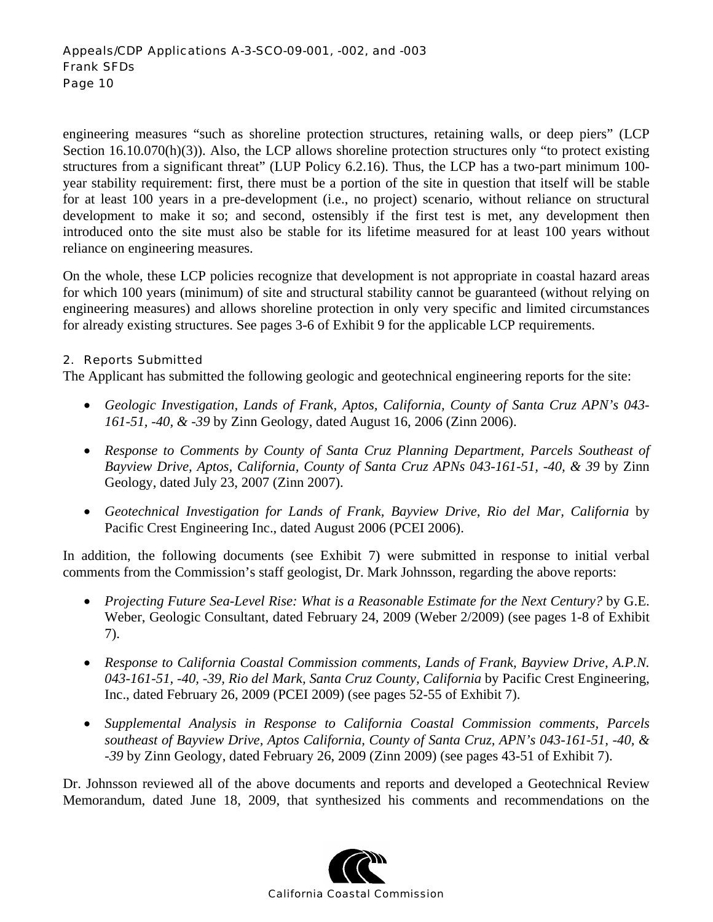engineering measures "such as shoreline protection structures, retaining walls, or deep piers" (LCP Section 16.10.070(h)(3)). Also, the LCP allows shoreline protection structures only "to protect existing structures from a significant threat" (LUP Policy 6.2.16). Thus, the LCP has a two-part minimum 100 year stability requirement: first, there must be a portion of the site in question that itself will be stable for at least 100 years in a pre-development (i.e., no project) scenario, without reliance on structural development to make it so; and second, ostensibly if the first test is met, any development then introduced onto the site must also be stable for its lifetime measured for at least 100 years without reliance on engineering measures.

On the whole, these LCP policies recognize that development is not appropriate in coastal hazard areas for which 100 years (minimum) of site and structural stability cannot be guaranteed (without relying on engineering measures) and allows shoreline protection in only very specific and limited circumstances for already existing structures. See pages 3-6 of Exhibit 9 for the applicable LCP requirements.

#### 2. Reports Submitted

The Applicant has submitted the following geologic and geotechnical engineering reports for the site:

- *Geologic Investigation, Lands of Frank, Aptos, California, County of Santa Cruz APN's 043- 161-51, -40, & -39* by Zinn Geology, dated August 16, 2006 (Zinn 2006).
- *Response to Comments by County of Santa Cruz Planning Department, Parcels Southeast of Bayview Drive, Aptos, California, County of Santa Cruz APNs 043-161-51, -40, & 39* by Zinn Geology, dated July 23, 2007 (Zinn 2007).
- *Geotechnical Investigation for Lands of Frank, Bayview Drive, Rio del Mar, California* by Pacific Crest Engineering Inc., dated August 2006 (PCEI 2006).

In addition, the following documents (see Exhibit 7) were submitted in response to initial verbal comments from the Commission's staff geologist, Dr. Mark Johnsson, regarding the above reports:

- *Projecting Future Sea-Level Rise: What is a Reasonable Estimate for the Next Century?* by G.E. Weber, Geologic Consultant, dated February 24, 2009 (Weber 2/2009) (see pages 1-8 of Exhibit 7).
- *Response to California Coastal Commission comments, Lands of Frank, Bayview Drive, A.P.N. 043-161-51, -40, -39, Rio del Mark, Santa Cruz County, California* by Pacific Crest Engineering, Inc., dated February 26, 2009 (PCEI 2009) (see pages 52-55 of Exhibit 7).
- *Supplemental Analysis in Response to California Coastal Commission comments, Parcels southeast of Bayview Drive, Aptos California, County of Santa Cruz, APN's 043-161-51, -40, & -39* by Zinn Geology, dated February 26, 2009 (Zinn 2009) (see pages 43-51 of Exhibit 7).

Dr. Johnsson reviewed all of the above documents and reports and developed a Geotechnical Review Memorandum, dated June 18, 2009, that synthesized his comments and recommendations on the

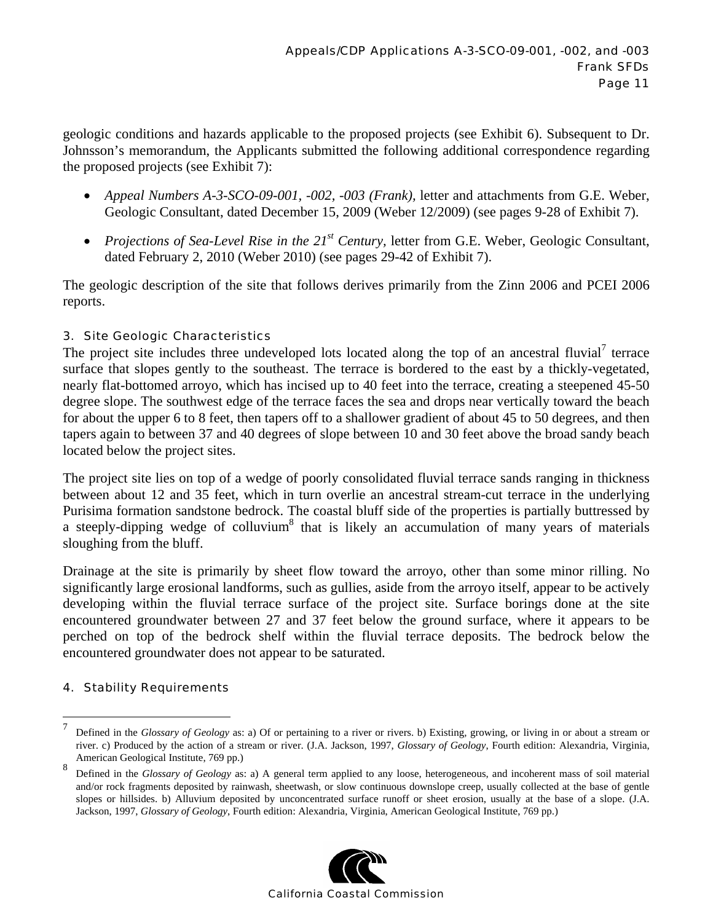geologic conditions and hazards applicable to the proposed projects (see Exhibit 6). Subsequent to Dr. Johnsson's memorandum, the Applicants submitted the following additional correspondence regarding the proposed projects (see Exhibit 7):

- *Appeal Numbers A-3-SCO-09-001, -002, -003 (Frank),* letter and attachments from G.E. Weber, Geologic Consultant, dated December 15, 2009 (Weber 12/2009) (see pages 9-28 of Exhibit 7).
- *Projections of Sea-Level Rise in the 21<sup>st</sup> Century, letter from G.E. Weber, Geologic Consultant,* dated February 2, 2010 (Weber 2010) (see pages 29-42 of Exhibit 7).

The geologic description of the site that follows derives primarily from the Zinn 2006 and PCEI 2006 reports.

#### 3. Site Geologic Characteristics

The project site includes three undeveloped lots located along the top of an ancestral fluvial<sup>7</sup> terrace surface that slopes gently to the southeast. The terrace is bordered to the east by a thickly-vegetated, nearly flat-bottomed arroyo, which has incised up to 40 feet into the terrace, creating a steepened 45-50 degree slope. The southwest edge of the terrace faces the sea and drops near vertically toward the beach for about the upper 6 to 8 feet, then tapers off to a shallower gradient of about 45 to 50 degrees, and then tapers again to between 37 and 40 degrees of slope between 10 and 30 feet above the broad sandy beach located below the project sites.

The project site lies on top of a wedge of poorly consolidated fluvial terrace sands ranging in thickness between about 12 and 35 feet, which in turn overlie an ancestral stream-cut terrace in the underlying Purisima formation sandstone bedrock. The coastal bluff side of the properties is partially buttressed by a steeply-dipping wedge of colluvium<sup>8</sup> that is likely an accumulation of many years of materials sloughing from the bluff.

Drainage at the site is primarily by sheet flow toward the arroyo, other than some minor rilling. No significantly large erosional landforms, such as gullies, aside from the arroyo itself, appear to be actively developing within the fluvial terrace surface of the project site. Surface borings done at the site encountered groundwater between 27 and 37 feet below the ground surface, where it appears to be perched on top of the bedrock shelf within the fluvial terrace deposits. The bedrock below the encountered groundwater does not appear to be saturated.

#### 4. Stability Requirements

 $\overline{a}$ 

<sup>8</sup> Defined in the *Glossary of Geology* as: a) A general term applied to any loose, heterogeneous, and incoherent mass of soil material and/or rock fragments deposited by rainwash, sheetwash, or slow continuous downslope creep, usually collected at the base of gentle slopes or hillsides. b) Alluvium deposited by unconcentrated surface runoff or sheet erosion, usually at the base of a slope. (J.A. Jackson, 1997, *Glossary of Geology*, Fourth edition: Alexandria, Virginia, American Geological Institute, 769 pp.)



<sup>7</sup> Defined in the *Glossary of Geology* as: a) Of or pertaining to a river or rivers. b) Existing, growing, or living in or about a stream or river. c) Produced by the action of a stream or river. (J.A. Jackson, 1997, *Glossary of Geology*, Fourth edition: Alexandria, Virginia, American Geological Institute, 769 pp.)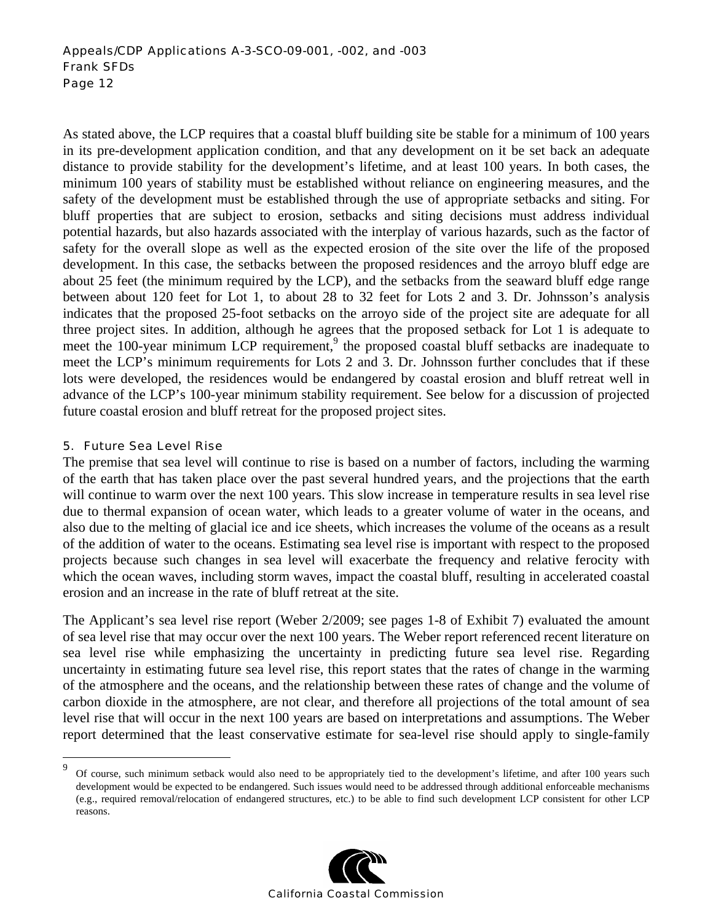As stated above, the LCP requires that a coastal bluff building site be stable for a minimum of 100 years in its pre-development application condition, and that any development on it be set back an adequate distance to provide stability for the development's lifetime, and at least 100 years. In both cases, the minimum 100 years of stability must be established without reliance on engineering measures, and the safety of the development must be established through the use of appropriate setbacks and siting. For bluff properties that are subject to erosion, setbacks and siting decisions must address individual potential hazards, but also hazards associated with the interplay of various hazards, such as the factor of safety for the overall slope as well as the expected erosion of the site over the life of the proposed development. In this case, the setbacks between the proposed residences and the arroyo bluff edge are about 25 feet (the minimum required by the LCP), and the setbacks from the seaward bluff edge range between about 120 feet for Lot 1, to about 28 to 32 feet for Lots 2 and 3. Dr. Johnsson's analysis indicates that the proposed 25-foot setbacks on the arroyo side of the project site are adequate for all three project sites. In addition, although he agrees that the proposed setback for Lot 1 is adequate to meet the 100-year minimum LCP requirement,<sup>9</sup> the proposed coastal bluff setbacks are inadequate to meet the LCP's minimum requirements for Lots 2 and 3. Dr. Johnsson further concludes that if these lots were developed, the residences would be endangered by coastal erosion and bluff retreat well in advance of the LCP's 100-year minimum stability requirement. See below for a discussion of projected future coastal erosion and bluff retreat for the proposed project sites.

#### 5. Future Sea Level Rise

 $\overline{a}$ 

The premise that sea level will continue to rise is based on a number of factors, including the warming of the earth that has taken place over the past several hundred years, and the projections that the earth will continue to warm over the next 100 years. This slow increase in temperature results in sea level rise due to thermal expansion of ocean water, which leads to a greater volume of water in the oceans, and also due to the melting of glacial ice and ice sheets, which increases the volume of the oceans as a result of the addition of water to the oceans. Estimating sea level rise is important with respect to the proposed projects because such changes in sea level will exacerbate the frequency and relative ferocity with which the ocean waves, including storm waves, impact the coastal bluff, resulting in accelerated coastal erosion and an increase in the rate of bluff retreat at the site.

The Applicant's sea level rise report (Weber 2/2009; see pages 1-8 of Exhibit 7) evaluated the amount of sea level rise that may occur over the next 100 years. The Weber report referenced recent literature on sea level rise while emphasizing the uncertainty in predicting future sea level rise. Regarding uncertainty in estimating future sea level rise, this report states that the rates of change in the warming of the atmosphere and the oceans, and the relationship between these rates of change and the volume of carbon dioxide in the atmosphere, are not clear, and therefore all projections of the total amount of sea level rise that will occur in the next 100 years are based on interpretations and assumptions. The Weber report determined that the least conservative estimate for sea-level rise should apply to single-family

<sup>9</sup> Of course, such minimum setback would also need to be appropriately tied to the development's lifetime, and after 100 years such development would be expected to be endangered. Such issues would need to be addressed through additional enforceable mechanisms (e.g., required removal/relocation of endangered structures, etc.) to be able to find such development LCP consistent for other LCP reasons.

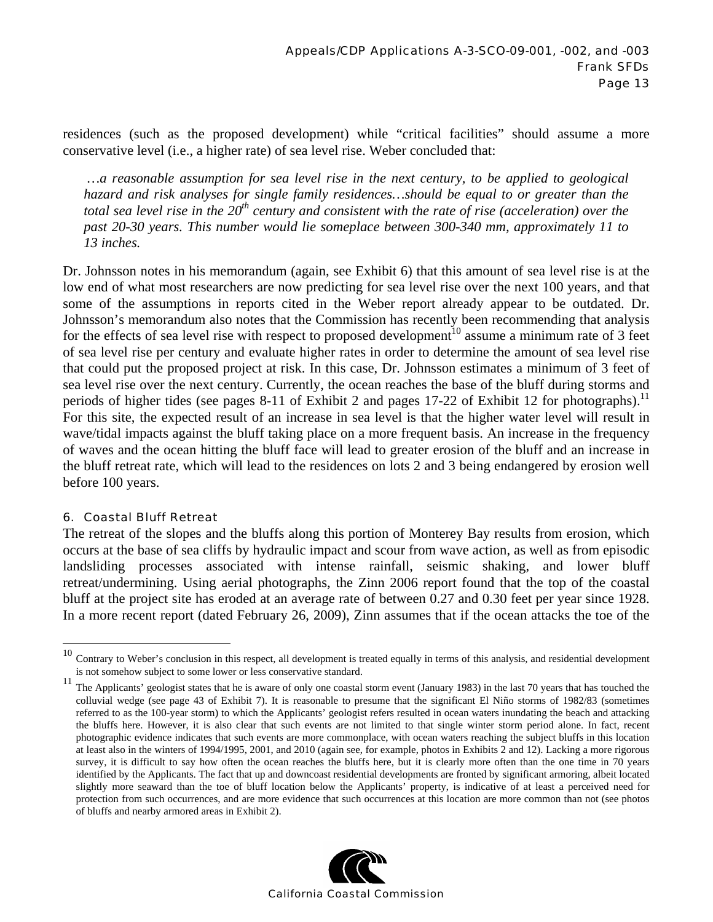residences (such as the proposed development) while "critical facilities" should assume a more conservative level (i.e., a higher rate) of sea level rise. Weber concluded that:

 *…a reasonable assumption for sea level rise in the next century, to be applied to geological hazard and risk analyses for single family residences…should be equal to or greater than the total sea level rise in the 20<sup>th</sup> century and consistent with the rate of rise (acceleration) over the past 20-30 years. This number would lie someplace between 300-340 mm, approximately 11 to 13 inches.* 

Dr. Johnsson notes in his memorandum (again, see Exhibit 6) that this amount of sea level rise is at the low end of what most researchers are now predicting for sea level rise over the next 100 years, and that some of the assumptions in reports cited in the Weber report already appear to be outdated. Dr. Johnsson's memorandum also notes that the Commission has recently been recommending that analysis for the effects of sea level rise with respect to proposed development<sup>10</sup> assume a minimum rate of 3 feet of sea level rise per century and evaluate higher rates in order to determine the amount of sea level rise that could put the proposed project at risk. In this case, Dr. Johnsson estimates a minimum of 3 feet of sea level rise over the next century. Currently, the ocean reaches the base of the bluff during storms and periods of higher tides (see pages 8-11 of Exhibit 2 and pages 17-22 of Exhibit 12 for photographs).<sup>11</sup> For this site, the expected result of an increase in sea level is that the higher water level will result in wave/tidal impacts against the bluff taking place on a more frequent basis. An increase in the frequency of waves and the ocean hitting the bluff face will lead to greater erosion of the bluff and an increase in the bluff retreat rate, which will lead to the residences on lots 2 and 3 being endangered by erosion well before 100 years.

#### 6. Coastal Bluff Retreat

 $\overline{a}$ 

The retreat of the slopes and the bluffs along this portion of Monterey Bay results from erosion, which occurs at the base of sea cliffs by hydraulic impact and scour from wave action, as well as from episodic landsliding processes associated with intense rainfall, seismic shaking, and lower bluff retreat/undermining. Using aerial photographs, the Zinn 2006 report found that the top of the coastal bluff at the project site has eroded at an average rate of between 0.27 and 0.30 feet per year since 1928. In a more recent report (dated February 26, 2009), Zinn assumes that if the ocean attacks the toe of the

<sup>&</sup>lt;sup>11</sup> The Applicants' geologist states that he is aware of only one coastal storm event (January 1983) in the last 70 years that has touched the colluvial wedge (see page 43 of Exhibit 7). It is reasonable to presume that the significant El Niño storms of 1982/83 (sometimes referred to as the 100-year storm) to which the Applicants' geologist refers resulted in ocean waters inundating the beach and attacking the bluffs here. However, it is also clear that such events are not limited to that single winter storm period alone. In fact, recent photographic evidence indicates that such events are more commonplace, with ocean waters reaching the subject bluffs in this location at least also in the winters of 1994/1995, 2001, and 2010 (again see, for example, photos in Exhibits 2 and 12). Lacking a more rigorous survey, it is difficult to say how often the ocean reaches the bluffs here, but it is clearly more often than the one time in 70 years identified by the Applicants. The fact that up and downcoast residential developments are fronted by significant armoring, albeit located slightly more seaward than the toe of bluff location below the Applicants' property, is indicative of at least a perceived need for protection from such occurrences, and are more evidence that such occurrences at this location are more common than not (see photos of bluffs and nearby armored areas in Exhibit 2).



 $10$  Contrary to Weber's conclusion in this respect, all development is treated equally in terms of this analysis, and residential development is not somehow subject to some lower or less conservative standard.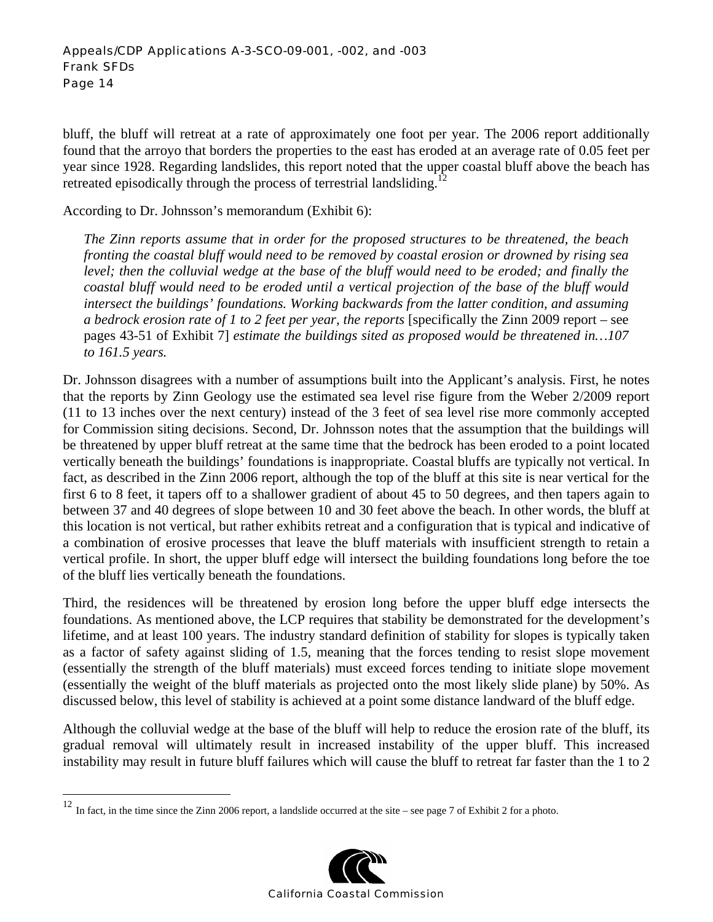bluff, the bluff will retreat at a rate of approximately one foot per year. The 2006 report additionally found that the arroyo that borders the properties to the east has eroded at an average rate of 0.05 feet per year since 1928. Regarding landslides, this report noted that the upper coastal bluff above the beach has retreated episodically through the process of terrestrial landsliding.<sup>12</sup>

According to Dr. Johnsson's memorandum (Exhibit 6):

*The Zinn reports assume that in order for the proposed structures to be threatened, the beach fronting the coastal bluff would need to be removed by coastal erosion or drowned by rising sea level; then the colluvial wedge at the base of the bluff would need to be eroded; and finally the coastal bluff would need to be eroded until a vertical projection of the base of the bluff would intersect the buildings' foundations. Working backwards from the latter condition, and assuming a bedrock erosion rate of 1 to 2 feet per year, the reports* [specifically the Zinn 2009 report – see pages 43-51 of Exhibit 7] *estimate the buildings sited as proposed would be threatened in…107 to 161.5 years.* 

Dr. Johnsson disagrees with a number of assumptions built into the Applicant's analysis. First, he notes that the reports by Zinn Geology use the estimated sea level rise figure from the Weber 2/2009 report (11 to 13 inches over the next century) instead of the 3 feet of sea level rise more commonly accepted for Commission siting decisions. Second, Dr. Johnsson notes that the assumption that the buildings will be threatened by upper bluff retreat at the same time that the bedrock has been eroded to a point located vertically beneath the buildings' foundations is inappropriate. Coastal bluffs are typically not vertical. In fact, as described in the Zinn 2006 report, although the top of the bluff at this site is near vertical for the first 6 to 8 feet, it tapers off to a shallower gradient of about 45 to 50 degrees, and then tapers again to between 37 and 40 degrees of slope between 10 and 30 feet above the beach. In other words, the bluff at this location is not vertical, but rather exhibits retreat and a configuration that is typical and indicative of a combination of erosive processes that leave the bluff materials with insufficient strength to retain a vertical profile. In short, the upper bluff edge will intersect the building foundations long before the toe of the bluff lies vertically beneath the foundations.

Third, the residences will be threatened by erosion long before the upper bluff edge intersects the foundations. As mentioned above, the LCP requires that stability be demonstrated for the development's lifetime, and at least 100 years. The industry standard definition of stability for slopes is typically taken as a factor of safety against sliding of 1.5, meaning that the forces tending to resist slope movement (essentially the strength of the bluff materials) must exceed forces tending to initiate slope movement (essentially the weight of the bluff materials as projected onto the most likely slide plane) by 50%. As discussed below, this level of stability is achieved at a point some distance landward of the bluff edge.

Although the colluvial wedge at the base of the bluff will help to reduce the erosion rate of the bluff, its gradual removal will ultimately result in increased instability of the upper bluff. This increased instability may result in future bluff failures which will cause the bluff to retreat far faster than the 1 to 2

1



<sup>&</sup>lt;sup>12</sup> In fact, in the time since the Zinn 2006 report, a landslide occurred at the site – see page 7 of Exhibit 2 for a photo.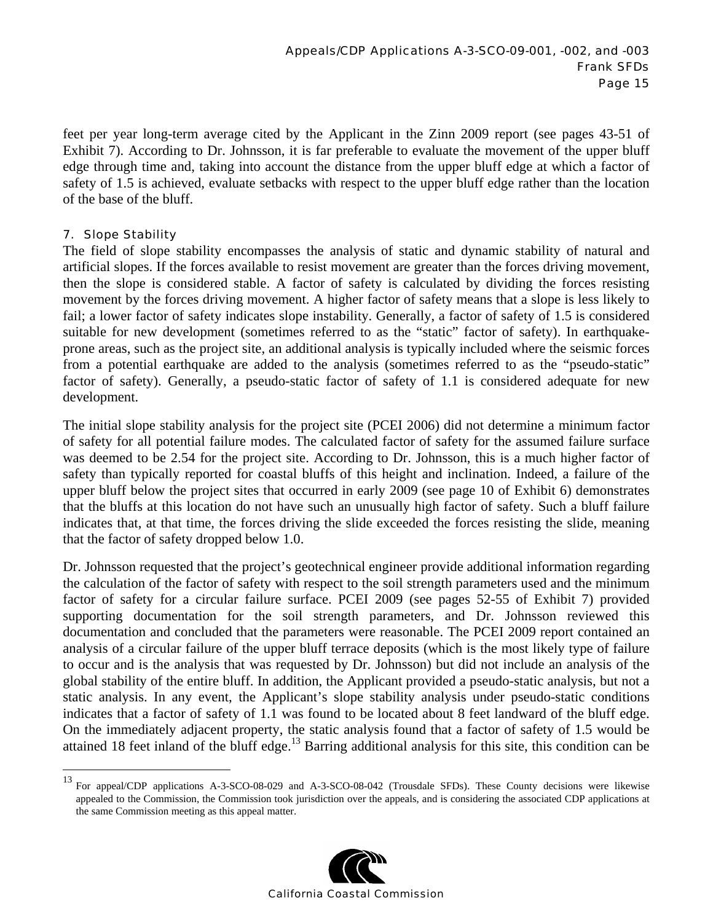feet per year long-term average cited by the Applicant in the Zinn 2009 report (see pages 43-51 of Exhibit 7). According to Dr. Johnsson, it is far preferable to evaluate the movement of the upper bluff edge through time and, taking into account the distance from the upper bluff edge at which a factor of safety of 1.5 is achieved, evaluate setbacks with respect to the upper bluff edge rather than the location of the base of the bluff.

#### 7. Slope Stability

 $\overline{a}$ 

The field of slope stability encompasses the analysis of static and dynamic stability of natural and artificial slopes. If the forces available to resist movement are greater than the forces driving movement, then the slope is considered stable. A factor of safety is calculated by dividing the forces resisting movement by the forces driving movement. A higher factor of safety means that a slope is less likely to fail; a lower factor of safety indicates slope instability. Generally, a factor of safety of 1.5 is considered suitable for new development (sometimes referred to as the "static" factor of safety). In earthquakeprone areas, such as the project site, an additional analysis is typically included where the seismic forces from a potential earthquake are added to the analysis (sometimes referred to as the "pseudo-static" factor of safety). Generally, a pseudo-static factor of safety of 1.1 is considered adequate for new development.

The initial slope stability analysis for the project site (PCEI 2006) did not determine a minimum factor of safety for all potential failure modes. The calculated factor of safety for the assumed failure surface was deemed to be 2.54 for the project site. According to Dr. Johnsson, this is a much higher factor of safety than typically reported for coastal bluffs of this height and inclination. Indeed, a failure of the upper bluff below the project sites that occurred in early 2009 (see page 10 of Exhibit 6) demonstrates that the bluffs at this location do not have such an unusually high factor of safety. Such a bluff failure indicates that, at that time, the forces driving the slide exceeded the forces resisting the slide, meaning that the factor of safety dropped below 1.0.

Dr. Johnsson requested that the project's geotechnical engineer provide additional information regarding the calculation of the factor of safety with respect to the soil strength parameters used and the minimum factor of safety for a circular failure surface. PCEI 2009 (see pages 52-55 of Exhibit 7) provided supporting documentation for the soil strength parameters, and Dr. Johnsson reviewed this documentation and concluded that the parameters were reasonable. The PCEI 2009 report contained an analysis of a circular failure of the upper bluff terrace deposits (which is the most likely type of failure to occur and is the analysis that was requested by Dr. Johnsson) but did not include an analysis of the global stability of the entire bluff. In addition, the Applicant provided a pseudo-static analysis, but not a static analysis. In any event, the Applicant's slope stability analysis under pseudo-static conditions indicates that a factor of safety of 1.1 was found to be located about 8 feet landward of the bluff edge. On the immediately adjacent property, the static analysis found that a factor of safety of 1.5 would be attained 18 feet inland of the bluff edge.<sup>13</sup> Barring additional analysis for this site, this condition can be

<sup>&</sup>lt;sup>13</sup> For appeal/CDP applications A-3-SCO-08-029 and A-3-SCO-08-042 (Trousdale SFDs). These County decisions were likewise appealed to the Commission, the Commission took jurisdiction over the appeals, and is considering the associated CDP applications at the same Commission meeting as this appeal matter.

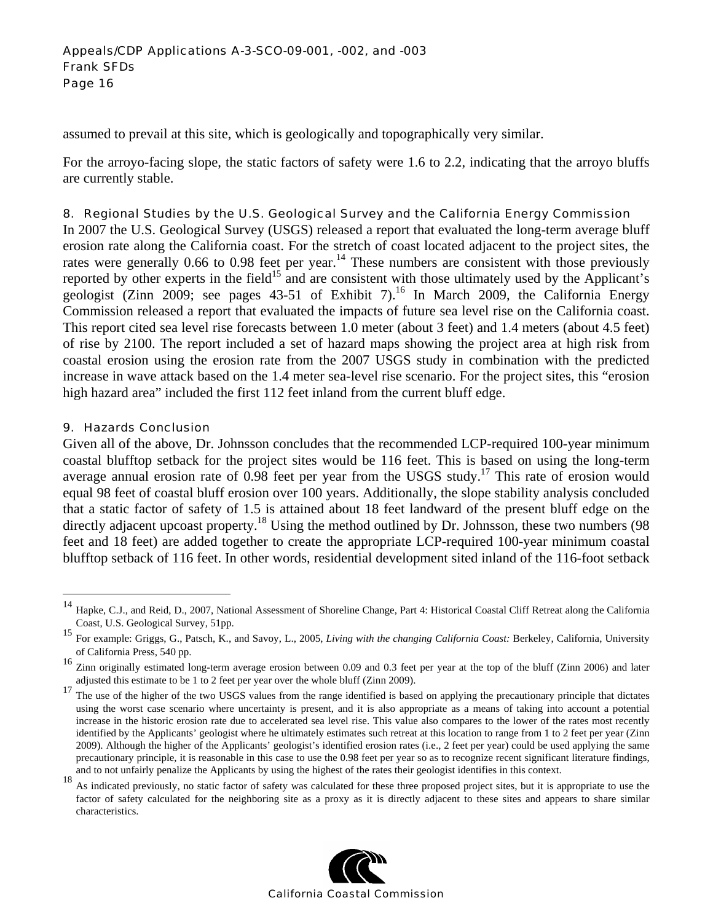assumed to prevail at this site, which is geologically and topographically very similar.

For the arroyo-facing slope, the static factors of safety were 1.6 to 2.2, indicating that the arroyo bluffs are currently stable.

#### 8. Regional Studies by the U.S. Geological Survey and the California Energy Commission

In 2007 the U.S. Geological Survey (USGS) released a report that evaluated the long-term average bluff erosion rate along the California coast. For the stretch of coast located adjacent to the project sites, the rates were generally 0.66 to 0.98 feet per year.<sup>14</sup> These numbers are consistent with those previously reported by other experts in the field<sup>15</sup> and are consistent with those ultimately used by the Applicant's geologist (Zinn 2009; see pages  $43-51$  of Exhibit 7).<sup>16</sup> In March 2009, the California Energy Commission released a report that evaluated the impacts of future sea level rise on the California coast. This report cited sea level rise forecasts between 1.0 meter (about 3 feet) and 1.4 meters (about 4.5 feet) of rise by 2100. The report included a set of hazard maps showing the project area at high risk from coastal erosion using the erosion rate from the 2007 USGS study in combination with the predicted increase in wave attack based on the 1.4 meter sea-level rise scenario. For the project sites, this "erosion high hazard area" included the first 112 feet inland from the current bluff edge.

#### 9. Hazards Conclusion

 $\overline{a}$ 

Given all of the above, Dr. Johnsson concludes that the recommended LCP-required 100-year minimum coastal blufftop setback for the project sites would be 116 feet. This is based on using the long-term average annual erosion rate of 0.98 feet per year from the USGS study.<sup>17</sup> This rate of erosion would equal 98 feet of coastal bluff erosion over 100 years. Additionally, the slope stability analysis concluded that a static factor of safety of 1.5 is attained about 18 feet landward of the present bluff edge on the directly adjacent upcoast property.<sup>18</sup> Using the method outlined by Dr. Johnsson, these two numbers (98) feet and 18 feet) are added together to create the appropriate LCP-required 100-year minimum coastal blufftop setback of 116 feet. In other words, residential development sited inland of the 116-foot setback

<sup>&</sup>lt;sup>18</sup> As indicated previously, no static factor of safety was calculated for these three proposed project sites, but it is appropriate to use the factor of safety calculated for the neighboring site as a proxy as it is directly adjacent to these sites and appears to share similar characteristics.



Hapke, C.J., and Reid, D., 2007, National Assessment of Shoreline Change, Part 4: Historical Coastal Cliff Retreat along the California Coast, U.S. Geological Survey, 51pp.

<sup>15</sup> For example: Griggs, G., Patsch, K., and Savoy, L., 2005, *Living with the changing California Coast:* Berkeley, California, University of California Press, 540 pp.

<sup>&</sup>lt;sup>16</sup> Zinn originally estimated long-term average erosion between 0.09 and 0.3 feet per year at the top of the bluff (Zinn 2006) and later adjusted this estimate to be 1 to 2 feet per year over the whole bluff (Zinn 2009).

<sup>&</sup>lt;sup>17</sup> The use of the higher of the two USGS values from the range identified is based on applying the precautionary principle that dictates using the worst case scenario where uncertainty is present, and it is also appropriate as a means of taking into account a potential increase in the historic erosion rate due to accelerated sea level rise. This value also compares to the lower of the rates most recently identified by the Applicants' geologist where he ultimately estimates such retreat at this location to range from 1 to 2 feet per year (Zinn 2009). Although the higher of the Applicants' geologist's identified erosion rates (i.e., 2 feet per year) could be used applying the same precautionary principle, it is reasonable in this case to use the 0.98 feet per year so as to recognize recent significant literature findings, and to not unfairly penalize the Applicants by using the highest of the rates their geologist identifies in this context.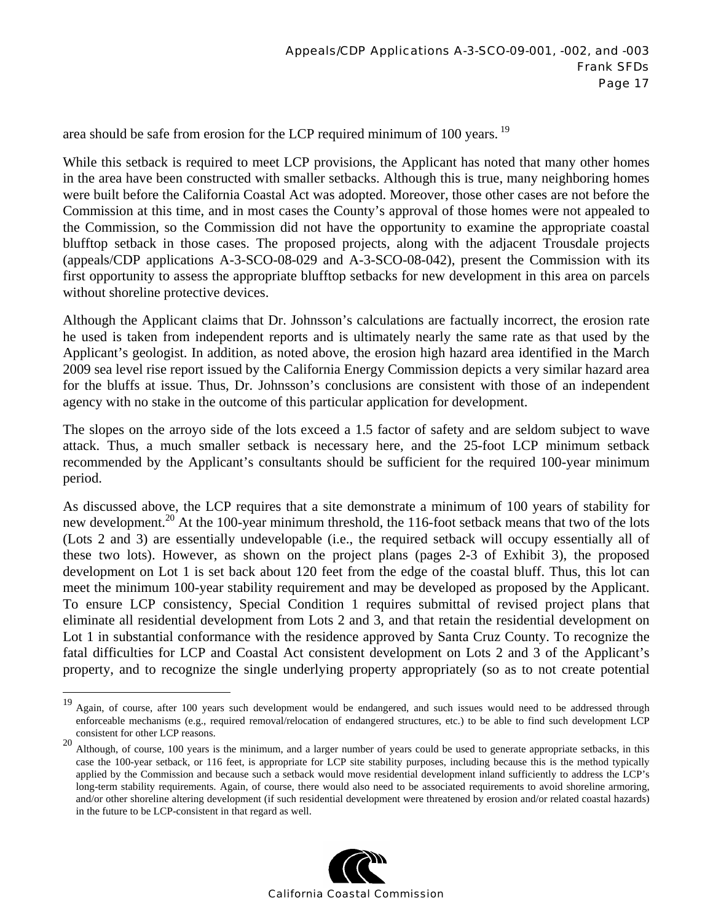area should be safe from erosion for the LCP required minimum of 100 years. <sup>19</sup>

While this setback is required to meet LCP provisions, the Applicant has noted that many other homes in the area have been constructed with smaller setbacks. Although this is true, many neighboring homes were built before the California Coastal Act was adopted. Moreover, those other cases are not before the Commission at this time, and in most cases the County's approval of those homes were not appealed to the Commission, so the Commission did not have the opportunity to examine the appropriate coastal blufftop setback in those cases. The proposed projects, along with the adjacent Trousdale projects (appeals/CDP applications A-3-SCO-08-029 and A-3-SCO-08-042), present the Commission with its first opportunity to assess the appropriate blufftop setbacks for new development in this area on parcels without shoreline protective devices.

Although the Applicant claims that Dr. Johnsson's calculations are factually incorrect, the erosion rate he used is taken from independent reports and is ultimately nearly the same rate as that used by the Applicant's geologist. In addition, as noted above, the erosion high hazard area identified in the March 2009 sea level rise report issued by the California Energy Commission depicts a very similar hazard area for the bluffs at issue. Thus, Dr. Johnsson's conclusions are consistent with those of an independent agency with no stake in the outcome of this particular application for development.

The slopes on the arroyo side of the lots exceed a 1.5 factor of safety and are seldom subject to wave attack. Thus, a much smaller setback is necessary here, and the 25-foot LCP minimum setback recommended by the Applicant's consultants should be sufficient for the required 100-year minimum period.

As discussed above, the LCP requires that a site demonstrate a minimum of 100 years of stability for new development.<sup>20</sup> At the 100-year minimum threshold, the 116-foot setback means that two of the lots (Lots 2 and 3) are essentially undevelopable (i.e., the required setback will occupy essentially all of these two lots). However, as shown on the project plans (pages 2-3 of Exhibit 3), the proposed development on Lot 1 is set back about 120 feet from the edge of the coastal bluff. Thus, this lot can meet the minimum 100-year stability requirement and may be developed as proposed by the Applicant. To ensure LCP consistency, Special Condition 1 requires submittal of revised project plans that eliminate all residential development from Lots 2 and 3, and that retain the residential development on Lot 1 in substantial conformance with the residence approved by Santa Cruz County. To recognize the fatal difficulties for LCP and Coastal Act consistent development on Lots 2 and 3 of the Applicant's property, and to recognize the single underlying property appropriately (so as to not create potential

 $\overline{a}$ 

<sup>20</sup> Although, of course, 100 years is the minimum, and a larger number of years could be used to generate appropriate setbacks, in this case the 100-year setback, or 116 feet, is appropriate for LCP site stability purposes, including because this is the method typically applied by the Commission and because such a setback would move residential development inland sufficiently to address the LCP's long-term stability requirements. Again, of course, there would also need to be associated requirements to avoid shoreline armoring, and/or other shoreline altering development (if such residential development were threatened by erosion and/or related coastal hazards) in the future to be LCP-consistent in that regard as well.



<sup>&</sup>lt;sup>19</sup> Again, of course, after 100 years such development would be endangered, and such issues would need to be addressed through enforceable mechanisms (e.g., required removal/relocation of endangered structures, etc.) to be able to find such development LCP consistent for other LCP reasons.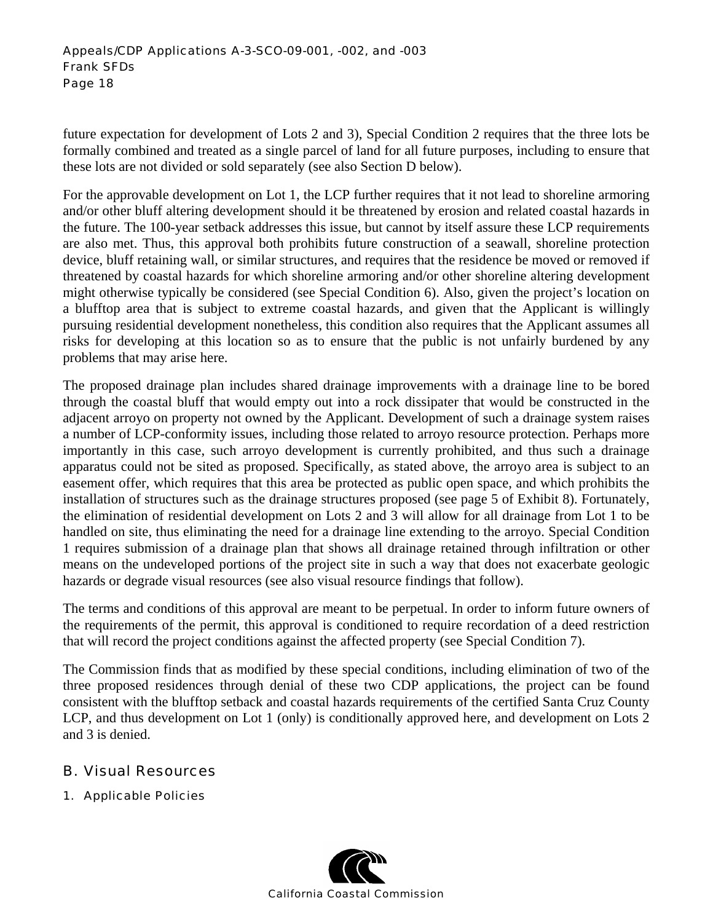future expectation for development of Lots 2 and 3), Special Condition 2 requires that the three lots be formally combined and treated as a single parcel of land for all future purposes, including to ensure that these lots are not divided or sold separately (see also Section D below).

For the approvable development on Lot 1, the LCP further requires that it not lead to shoreline armoring and/or other bluff altering development should it be threatened by erosion and related coastal hazards in the future. The 100-year setback addresses this issue, but cannot by itself assure these LCP requirements are also met. Thus, this approval both prohibits future construction of a seawall, shoreline protection device, bluff retaining wall, or similar structures, and requires that the residence be moved or removed if threatened by coastal hazards for which shoreline armoring and/or other shoreline altering development might otherwise typically be considered (see Special Condition 6). Also, given the project's location on a blufftop area that is subject to extreme coastal hazards, and given that the Applicant is willingly pursuing residential development nonetheless, this condition also requires that the Applicant assumes all risks for developing at this location so as to ensure that the public is not unfairly burdened by any problems that may arise here.

The proposed drainage plan includes shared drainage improvements with a drainage line to be bored through the coastal bluff that would empty out into a rock dissipater that would be constructed in the adjacent arroyo on property not owned by the Applicant. Development of such a drainage system raises a number of LCP-conformity issues, including those related to arroyo resource protection. Perhaps more importantly in this case, such arroyo development is currently prohibited, and thus such a drainage apparatus could not be sited as proposed. Specifically, as stated above, the arroyo area is subject to an easement offer, which requires that this area be protected as public open space, and which prohibits the installation of structures such as the drainage structures proposed (see page 5 of Exhibit 8). Fortunately, the elimination of residential development on Lots 2 and 3 will allow for all drainage from Lot 1 to be handled on site, thus eliminating the need for a drainage line extending to the arroyo. Special Condition 1 requires submission of a drainage plan that shows all drainage retained through infiltration or other means on the undeveloped portions of the project site in such a way that does not exacerbate geologic hazards or degrade visual resources (see also visual resource findings that follow).

The terms and conditions of this approval are meant to be perpetual. In order to inform future owners of the requirements of the permit, this approval is conditioned to require recordation of a deed restriction that will record the project conditions against the affected property (see Special Condition 7).

The Commission finds that as modified by these special conditions, including elimination of two of the three proposed residences through denial of these two CDP applications, the project can be found consistent with the blufftop setback and coastal hazards requirements of the certified Santa Cruz County LCP, and thus development on Lot 1 (only) is conditionally approved here, and development on Lots 2 and 3 is denied.

## B. Visual Resources

1. Applicable Policies

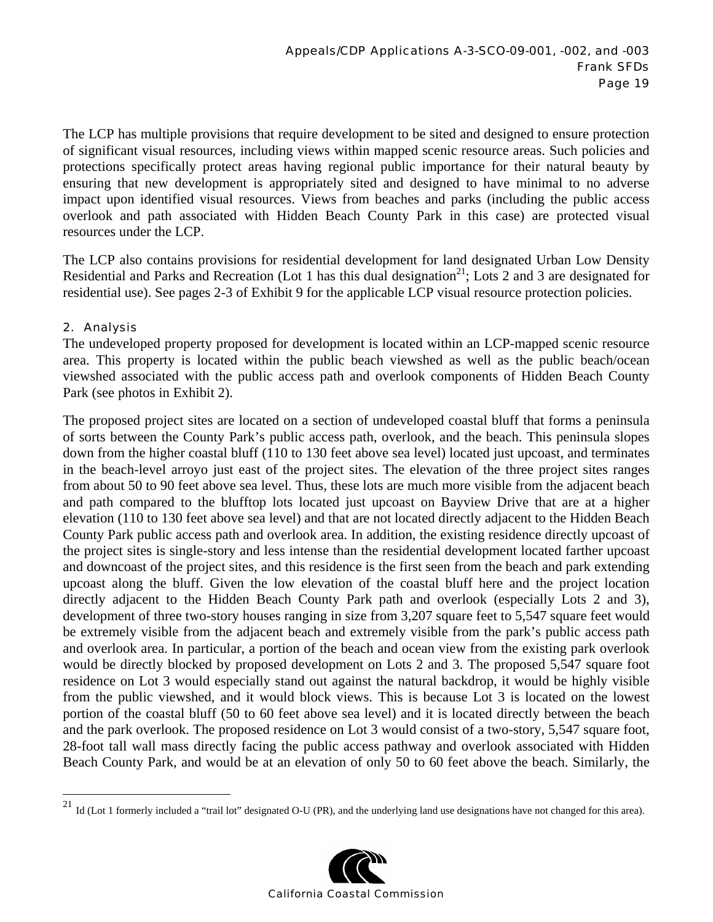The LCP has multiple provisions that require development to be sited and designed to ensure protection of significant visual resources, including views within mapped scenic resource areas. Such policies and protections specifically protect areas having regional public importance for their natural beauty by ensuring that new development is appropriately sited and designed to have minimal to no adverse impact upon identified visual resources. Views from beaches and parks (including the public access overlook and path associated with Hidden Beach County Park in this case) are protected visual resources under the LCP.

The LCP also contains provisions for residential development for land designated Urban Low Density Residential and Parks and Recreation (Lot 1 has this dual designation<sup>21</sup>; Lots 2 and 3 are designated for residential use). See pages 2-3 of Exhibit 9 for the applicable LCP visual resource protection policies.

#### 2. Analysis

 $\overline{a}$ 

The undeveloped property proposed for development is located within an LCP-mapped scenic resource area. This property is located within the public beach viewshed as well as the public beach/ocean viewshed associated with the public access path and overlook components of Hidden Beach County Park (see photos in Exhibit 2).

The proposed project sites are located on a section of undeveloped coastal bluff that forms a peninsula of sorts between the County Park's public access path, overlook, and the beach. This peninsula slopes down from the higher coastal bluff (110 to 130 feet above sea level) located just upcoast, and terminates in the beach-level arroyo just east of the project sites. The elevation of the three project sites ranges from about 50 to 90 feet above sea level. Thus, these lots are much more visible from the adjacent beach and path compared to the blufftop lots located just upcoast on Bayview Drive that are at a higher elevation (110 to 130 feet above sea level) and that are not located directly adjacent to the Hidden Beach County Park public access path and overlook area. In addition, the existing residence directly upcoast of the project sites is single-story and less intense than the residential development located farther upcoast and downcoast of the project sites, and this residence is the first seen from the beach and park extending upcoast along the bluff. Given the low elevation of the coastal bluff here and the project location directly adjacent to the Hidden Beach County Park path and overlook (especially Lots 2 and 3), development of three two-story houses ranging in size from 3,207 square feet to 5,547 square feet would be extremely visible from the adjacent beach and extremely visible from the park's public access path and overlook area. In particular, a portion of the beach and ocean view from the existing park overlook would be directly blocked by proposed development on Lots 2 and 3. The proposed 5,547 square foot residence on Lot 3 would especially stand out against the natural backdrop, it would be highly visible from the public viewshed, and it would block views. This is because Lot 3 is located on the lowest portion of the coastal bluff (50 to 60 feet above sea level) and it is located directly between the beach and the park overlook. The proposed residence on Lot 3 would consist of a two-story, 5,547 square foot, 28-foot tall wall mass directly facing the public access pathway and overlook associated with Hidden Beach County Park, and would be at an elevation of only 50 to 60 feet above the beach. Similarly, the

<sup>&</sup>lt;sup>21</sup> Id (Lot 1 formerly included a "trail lot" designated O-U (PR), and the underlying land use designations have not changed for this area).

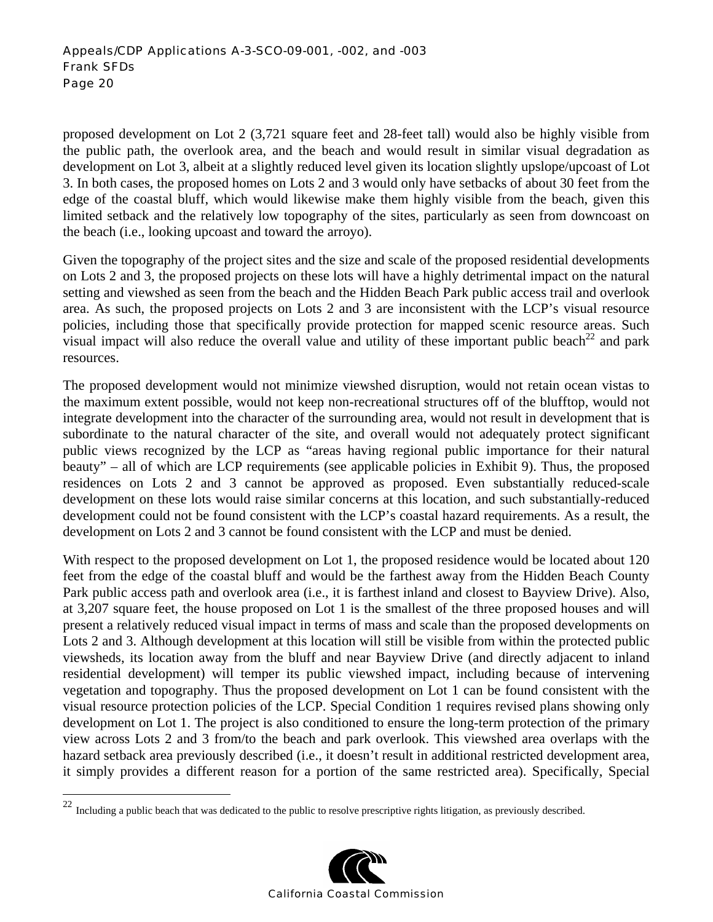proposed development on Lot 2 (3,721 square feet and 28-feet tall) would also be highly visible from the public path, the overlook area, and the beach and would result in similar visual degradation as development on Lot 3, albeit at a slightly reduced level given its location slightly upslope/upcoast of Lot 3. In both cases, the proposed homes on Lots 2 and 3 would only have setbacks of about 30 feet from the edge of the coastal bluff, which would likewise make them highly visible from the beach, given this limited setback and the relatively low topography of the sites, particularly as seen from downcoast on the beach (i.e., looking upcoast and toward the arroyo).

Given the topography of the project sites and the size and scale of the proposed residential developments on Lots 2 and 3, the proposed projects on these lots will have a highly detrimental impact on the natural setting and viewshed as seen from the beach and the Hidden Beach Park public access trail and overlook area. As such, the proposed projects on Lots 2 and 3 are inconsistent with the LCP's visual resource policies, including those that specifically provide protection for mapped scenic resource areas. Such visual impact will also reduce the overall value and utility of these important public beach<sup>22</sup> and park resources.

The proposed development would not minimize viewshed disruption, would not retain ocean vistas to the maximum extent possible, would not keep non-recreational structures off of the blufftop, would not integrate development into the character of the surrounding area, would not result in development that is subordinate to the natural character of the site, and overall would not adequately protect significant public views recognized by the LCP as "areas having regional public importance for their natural beauty" – all of which are LCP requirements (see applicable policies in Exhibit 9). Thus, the proposed residences on Lots 2 and 3 cannot be approved as proposed. Even substantially reduced-scale development on these lots would raise similar concerns at this location, and such substantially-reduced development could not be found consistent with the LCP's coastal hazard requirements. As a result, the development on Lots 2 and 3 cannot be found consistent with the LCP and must be denied.

With respect to the proposed development on Lot 1, the proposed residence would be located about 120 feet from the edge of the coastal bluff and would be the farthest away from the Hidden Beach County Park public access path and overlook area (i.e., it is farthest inland and closest to Bayview Drive). Also, at 3,207 square feet, the house proposed on Lot 1 is the smallest of the three proposed houses and will present a relatively reduced visual impact in terms of mass and scale than the proposed developments on Lots 2 and 3. Although development at this location will still be visible from within the protected public viewsheds, its location away from the bluff and near Bayview Drive (and directly adjacent to inland residential development) will temper its public viewshed impact, including because of intervening vegetation and topography. Thus the proposed development on Lot 1 can be found consistent with the visual resource protection policies of the LCP. Special Condition 1 requires revised plans showing only development on Lot 1. The project is also conditioned to ensure the long-term protection of the primary view across Lots 2 and 3 from/to the beach and park overlook. This viewshed area overlaps with the hazard setback area previously described (i.e., it doesn't result in additional restricted development area, it simply provides a different reason for a portion of the same restricted area). Specifically, Special

 $\overline{a}$ 



 $22$  Including a public beach that was dedicated to the public to resolve prescriptive rights litigation, as previously described.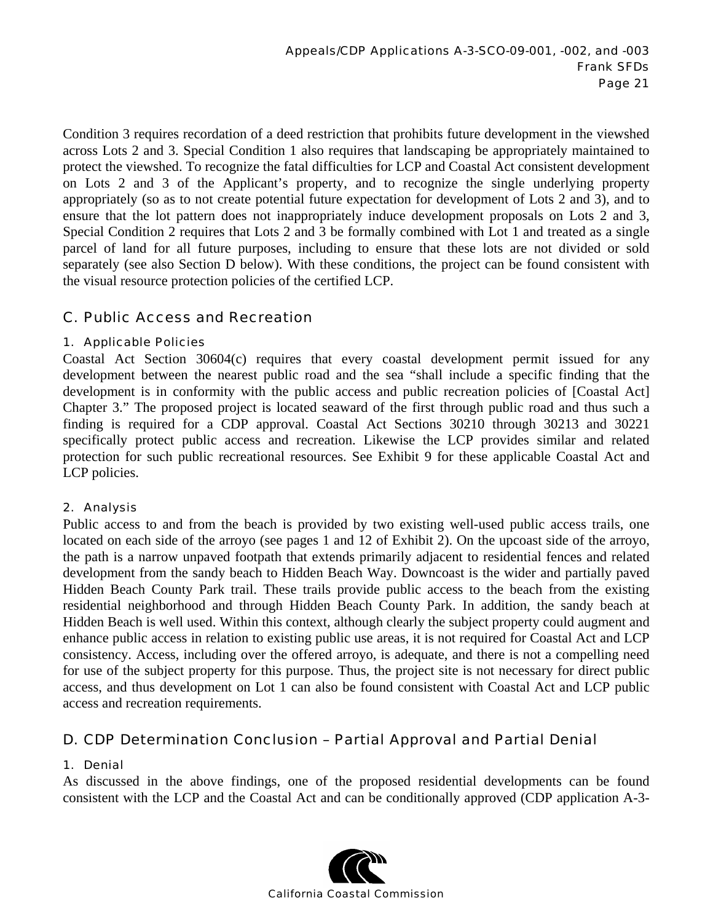Condition 3 requires recordation of a deed restriction that prohibits future development in the viewshed across Lots 2 and 3. Special Condition 1 also requires that landscaping be appropriately maintained to protect the viewshed. To recognize the fatal difficulties for LCP and Coastal Act consistent development on Lots 2 and 3 of the Applicant's property, and to recognize the single underlying property appropriately (so as to not create potential future expectation for development of Lots 2 and 3), and to ensure that the lot pattern does not inappropriately induce development proposals on Lots 2 and 3, Special Condition 2 requires that Lots 2 and 3 be formally combined with Lot 1 and treated as a single parcel of land for all future purposes, including to ensure that these lots are not divided or sold separately (see also Section D below). With these conditions, the project can be found consistent with the visual resource protection policies of the certified LCP.

## C. Public Access and Recreation

#### 1. Applicable Policies

Coastal Act Section 30604(c) requires that every coastal development permit issued for any development between the nearest public road and the sea "shall include a specific finding that the development is in conformity with the public access and public recreation policies of [Coastal Act] Chapter 3." The proposed project is located seaward of the first through public road and thus such a finding is required for a CDP approval. Coastal Act Sections 30210 through 30213 and 30221 specifically protect public access and recreation. Likewise the LCP provides similar and related protection for such public recreational resources. See Exhibit 9 for these applicable Coastal Act and LCP policies.

#### 2. Analysis

Public access to and from the beach is provided by two existing well-used public access trails, one located on each side of the arroyo (see pages 1 and 12 of Exhibit 2). On the upcoast side of the arroyo, the path is a narrow unpaved footpath that extends primarily adjacent to residential fences and related development from the sandy beach to Hidden Beach Way. Downcoast is the wider and partially paved Hidden Beach County Park trail. These trails provide public access to the beach from the existing residential neighborhood and through Hidden Beach County Park. In addition, the sandy beach at Hidden Beach is well used. Within this context, although clearly the subject property could augment and enhance public access in relation to existing public use areas, it is not required for Coastal Act and LCP consistency. Access, including over the offered arroyo, is adequate, and there is not a compelling need for use of the subject property for this purpose. Thus, the project site is not necessary for direct public access, and thus development on Lot 1 can also be found consistent with Coastal Act and LCP public access and recreation requirements.

#### D. CDP Determination Conclusion – Partial Approval and Partial Denial

#### 1. Denial

As discussed in the above findings, one of the proposed residential developments can be found consistent with the LCP and the Coastal Act and can be conditionally approved (CDP application A-3-

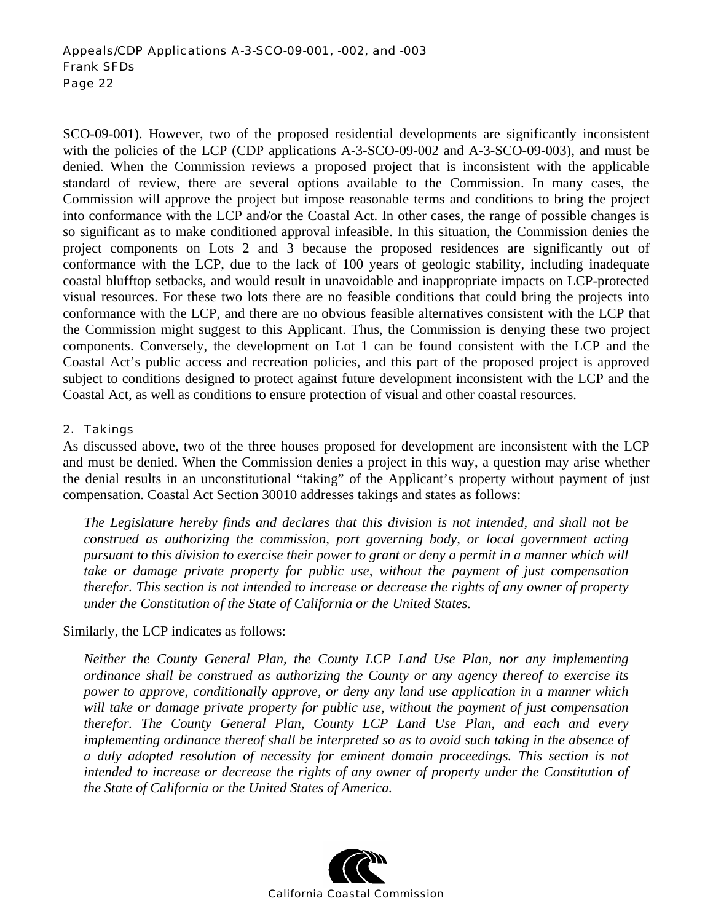SCO-09-001). However, two of the proposed residential developments are significantly inconsistent with the policies of the LCP (CDP applications A-3-SCO-09-002 and A-3-SCO-09-003), and must be denied. When the Commission reviews a proposed project that is inconsistent with the applicable standard of review, there are several options available to the Commission. In many cases, the Commission will approve the project but impose reasonable terms and conditions to bring the project into conformance with the LCP and/or the Coastal Act. In other cases, the range of possible changes is so significant as to make conditioned approval infeasible. In this situation, the Commission denies the project components on Lots 2 and 3 because the proposed residences are significantly out of conformance with the LCP, due to the lack of 100 years of geologic stability, including inadequate coastal blufftop setbacks, and would result in unavoidable and inappropriate impacts on LCP-protected visual resources. For these two lots there are no feasible conditions that could bring the projects into conformance with the LCP, and there are no obvious feasible alternatives consistent with the LCP that the Commission might suggest to this Applicant. Thus, the Commission is denying these two project components. Conversely, the development on Lot 1 can be found consistent with the LCP and the Coastal Act's public access and recreation policies, and this part of the proposed project is approved subject to conditions designed to protect against future development inconsistent with the LCP and the Coastal Act, as well as conditions to ensure protection of visual and other coastal resources.

#### 2. Takings

As discussed above, two of the three houses proposed for development are inconsistent with the LCP and must be denied. When the Commission denies a project in this way, a question may arise whether the denial results in an unconstitutional "taking" of the Applicant's property without payment of just compensation. Coastal Act Section 30010 addresses takings and states as follows:

*The Legislature hereby finds and declares that this division is not intended, and shall not be construed as authorizing the commission, port governing body, or local government acting pursuant to this division to exercise their power to grant or deny a permit in a manner which will take or damage private property for public use, without the payment of just compensation therefor. This section is not intended to increase or decrease the rights of any owner of property under the Constitution of the State of California or the United States.* 

Similarly, the LCP indicates as follows:

*Neither the County General Plan, the County LCP Land Use Plan, nor any implementing ordinance shall be construed as authorizing the County or any agency thereof to exercise its power to approve, conditionally approve, or deny any land use application in a manner which will take or damage private property for public use, without the payment of just compensation therefor. The County General Plan, County LCP Land Use Plan, and each and every implementing ordinance thereof shall be interpreted so as to avoid such taking in the absence of a duly adopted resolution of necessity for eminent domain proceedings. This section is not intended to increase or decrease the rights of any owner of property under the Constitution of the State of California or the United States of America.* 

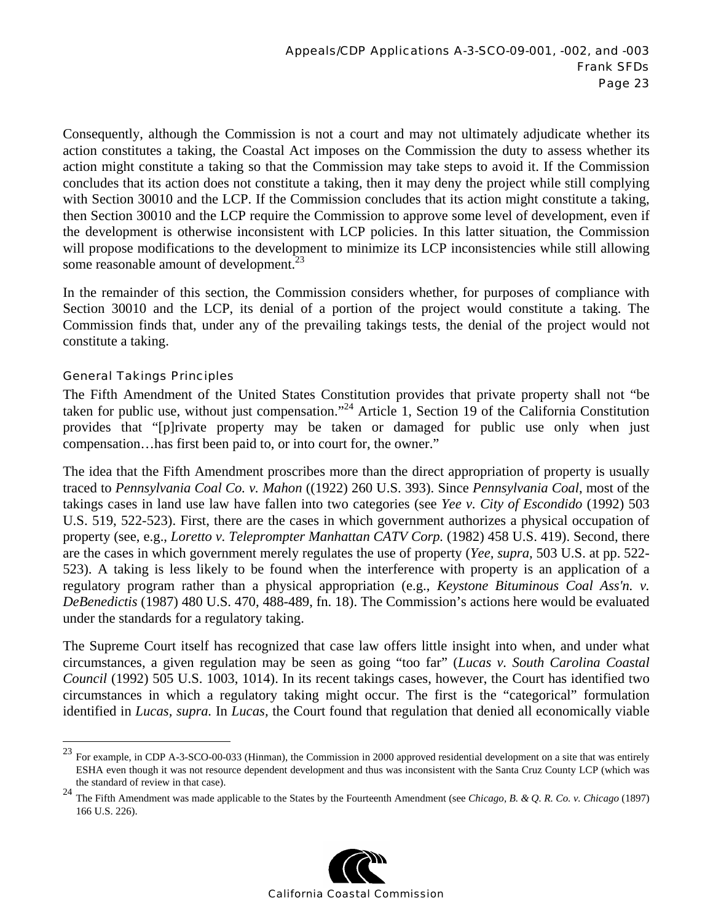Consequently, although the Commission is not a court and may not ultimately adjudicate whether its action constitutes a taking, the Coastal Act imposes on the Commission the duty to assess whether its action might constitute a taking so that the Commission may take steps to avoid it. If the Commission concludes that its action does not constitute a taking, then it may deny the project while still complying with Section 30010 and the LCP. If the Commission concludes that its action might constitute a taking, then Section 30010 and the LCP require the Commission to approve some level of development, even if the development is otherwise inconsistent with LCP policies. In this latter situation, the Commission will propose modifications to the development to minimize its LCP inconsistencies while still allowing some reasonable amount of development.<sup>23</sup>

In the remainder of this section, the Commission considers whether, for purposes of compliance with Section 30010 and the LCP, its denial of a portion of the project would constitute a taking. The Commission finds that, under any of the prevailing takings tests, the denial of the project would not constitute a taking.

#### General Takings Principles

 $\overline{a}$ 

The Fifth Amendment of the United States Constitution provides that private property shall not "be taken for public use, without just compensation."<sup>24</sup> Article 1, Section 19 of the California Constitution provides that "[p]rivate property may be taken or damaged for public use only when just compensation…has first been paid to, or into court for, the owner."

The idea that the Fifth Amendment proscribes more than the direct appropriation of property is usually traced to *Pennsylvania Coal Co. v. Mahon* ((1922) 260 U.S. 393). Since *Pennsylvania Coal*, most of the takings cases in land use law have fallen into two categories (see *Yee v. City of Escondido* (1992) 503 U.S. 519, 522-523). First, there are the cases in which government authorizes a physical occupation of property (see, e.g., *Loretto v. Teleprompter Manhattan CATV Corp.* (1982) 458 U.S. 419). Second, there are the cases in which government merely regulates the use of property (*Yee, supra,* 503 U.S. at pp. 522- 523). A taking is less likely to be found when the interference with property is an application of a regulatory program rather than a physical appropriation (e.g., *Keystone Bituminous Coal Ass'n. v. DeBenedictis* (1987) 480 U.S. 470, 488-489, fn. 18). The Commission's actions here would be evaluated under the standards for a regulatory taking.

The Supreme Court itself has recognized that case law offers little insight into when, and under what circumstances, a given regulation may be seen as going "too far" (*Lucas v. South Carolina Coastal Council* (1992) 505 U.S. 1003, 1014). In its recent takings cases, however, the Court has identified two circumstances in which a regulatory taking might occur. The first is the "categorical" formulation identified in *Lucas, supra.* In *Lucas,* the Court found that regulation that denied all economically viable

<sup>24</sup> The Fifth Amendment was made applicable to the States by the Fourteenth Amendment (see *Chicago, B. & Q. R. Co. v. Chicago* (1897) 166 U.S. 226).



<sup>23</sup> For example, in CDP A-3-SCO-00-033 (Hinman), the Commission in 2000 approved residential development on a site that was entirely ESHA even though it was not resource dependent development and thus was inconsistent with the Santa Cruz County LCP (which was the standard of review in that case).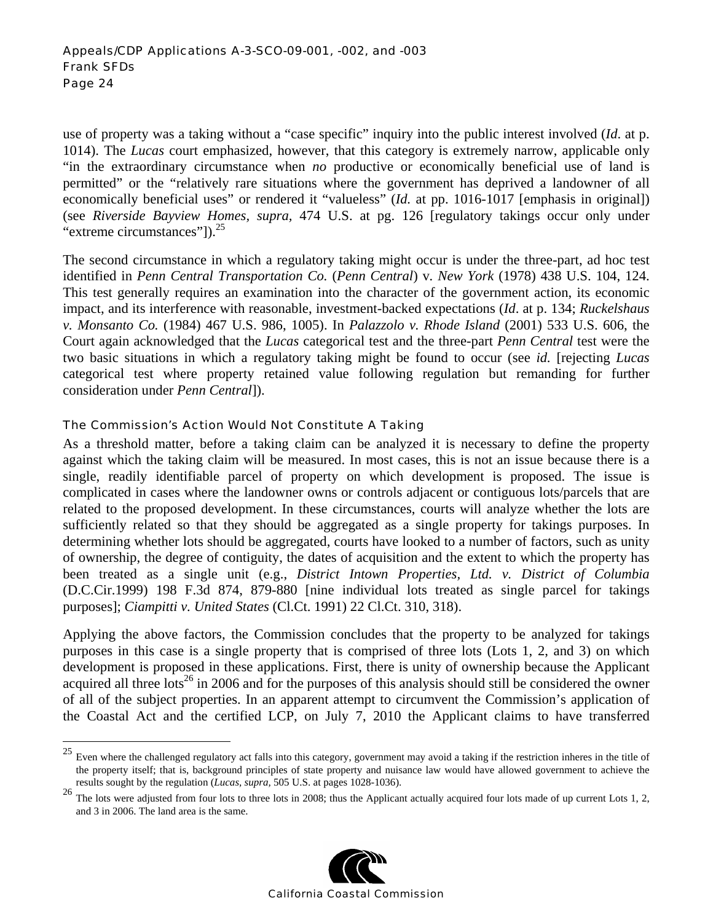use of property was a taking without a "case specific" inquiry into the public interest involved (*Id*. at p. 1014). The *Lucas* court emphasized, however, that this category is extremely narrow, applicable only "in the extraordinary circumstance when *no* productive or economically beneficial use of land is permitted" or the "relatively rare situations where the government has deprived a landowner of all economically beneficial uses" or rendered it "valueless" (*Id.* at pp. 1016-1017 [emphasis in original]) (see *Riverside Bayview Homes, supra,* 474 U.S. at pg. 126 [regulatory takings occur only under "extreme circumstances"]).<sup>25</sup>

The second circumstance in which a regulatory taking might occur is under the three-part, ad hoc test identified in *Penn Central Transportation Co.* (*Penn Central*) v*. New York* (1978) 438 U.S. 104, 124. This test generally requires an examination into the character of the government action, its economic impact, and its interference with reasonable, investment-backed expectations (*Id*. at p. 134; *Ruckelshaus v. Monsanto Co.* (1984) 467 U.S. 986, 1005). In *Palazzolo v. Rhode Island* (2001) 533 U.S. 606, the Court again acknowledged that the *Lucas* categorical test and the three-part *Penn Central* test were the two basic situations in which a regulatory taking might be found to occur (see *id.* [rejecting *Lucas*  categorical test where property retained value following regulation but remanding for further consideration under *Penn Central*]).

#### The Commission's Action Would Not Constitute A Taking

<u>.</u>

As a threshold matter, before a taking claim can be analyzed it is necessary to define the property against which the taking claim will be measured. In most cases, this is not an issue because there is a single, readily identifiable parcel of property on which development is proposed. The issue is complicated in cases where the landowner owns or controls adjacent or contiguous lots/parcels that are related to the proposed development. In these circumstances, courts will analyze whether the lots are sufficiently related so that they should be aggregated as a single property for takings purposes. In determining whether lots should be aggregated, courts have looked to a number of factors, such as unity of ownership, the degree of contiguity, the dates of acquisition and the extent to which the property has been treated as a single unit (e.g., *District Intown Properties, Ltd. v. District of Columbia* (D.C.Cir.1999) 198 F.3d 874, 879-880 [nine individual lots treated as single parcel for takings purposes]; *Ciampitti v. United States* (Cl.Ct. 1991) 22 Cl.Ct. 310, 318).

Applying the above factors, the Commission concludes that the property to be analyzed for takings purposes in this case is a single property that is comprised of three lots (Lots 1, 2, and 3) on which development is proposed in these applications. First, there is unity of ownership because the Applicant acquired all three lots<sup>26</sup> in 2006 and for the purposes of this analysis should still be considered the owner of all of the subject properties. In an apparent attempt to circumvent the Commission's application of the Coastal Act and the certified LCP, on July 7, 2010 the Applicant claims to have transferred

<sup>&</sup>lt;sup>26</sup> The lots were adjusted from four lots to three lots in 2008; thus the Applicant actually acquired four lots made of up current Lots 1, 2, and 3 in 2006. The land area is the same.



 $25$  Even where the challenged regulatory act falls into this category, government may avoid a taking if the restriction inheres in the title of the property itself; that is, background principles of state property and nuisance law would have allowed government to achieve the results sought by the regulation (*Lucas, supra,* 505 U.S. at pages 1028-1036).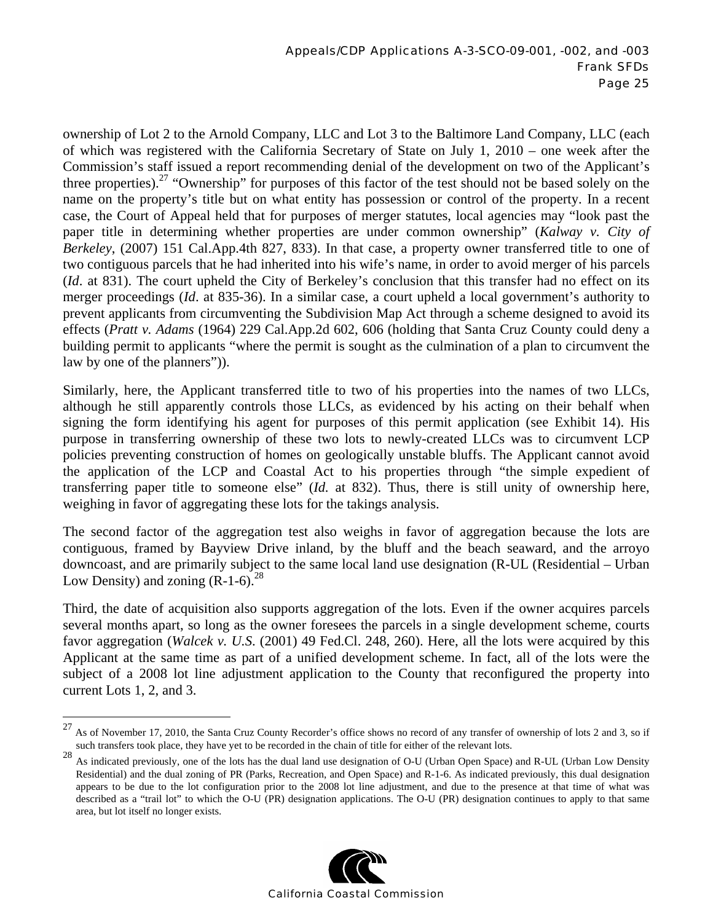ownership of Lot 2 to the Arnold Company, LLC and Lot 3 to the Baltimore Land Company, LLC (each of which was registered with the California Secretary of State on July 1, 2010 – one week after the Commission's staff issued a report recommending denial of the development on two of the Applicant's three properties).<sup>27</sup> "Ownership" for purposes of this factor of the test should not be based solely on the name on the property's title but on what entity has possession or control of the property. In a recent case, the Court of Appeal held that for purposes of merger statutes, local agencies may "look past the paper title in determining whether properties are under common ownership" (*Kalway v. City of Berkeley*, (2007) 151 Cal.App.4th 827, 833). In that case, a property owner transferred title to one of two contiguous parcels that he had inherited into his wife's name, in order to avoid merger of his parcels (*Id*. at 831). The court upheld the City of Berkeley's conclusion that this transfer had no effect on its merger proceedings (*Id*. at 835-36). In a similar case, a court upheld a local government's authority to prevent applicants from circumventing the Subdivision Map Act through a scheme designed to avoid its effects (*Pratt v. Adams* (1964) 229 Cal.App.2d 602, 606 (holding that Santa Cruz County could deny a building permit to applicants "where the permit is sought as the culmination of a plan to circumvent the law by one of the planners")).

Similarly, here, the Applicant transferred title to two of his properties into the names of two LLCs, although he still apparently controls those LLCs, as evidenced by his acting on their behalf when signing the form identifying his agent for purposes of this permit application (see Exhibit 14). His purpose in transferring ownership of these two lots to newly-created LLCs was to circumvent LCP policies preventing construction of homes on geologically unstable bluffs. The Applicant cannot avoid the application of the LCP and Coastal Act to his properties through "the simple expedient of transferring paper title to someone else" (*Id.* at 832). Thus, there is still unity of ownership here, weighing in favor of aggregating these lots for the takings analysis.

The second factor of the aggregation test also weighs in favor of aggregation because the lots are contiguous, framed by Bayview Drive inland, by the bluff and the beach seaward, and the arroyo downcoast, and are primarily subject to the same local land use designation (R-UL (Residential – Urban Low Density) and zoning  $(R-1-6)$ .<sup>28</sup>

Third, the date of acquisition also supports aggregation of the lots. Even if the owner acquires parcels several months apart, so long as the owner foresees the parcels in a single development scheme, courts favor aggregation (*Walcek v. U.S*. (2001) 49 Fed.Cl. 248, 260). Here, all the lots were acquired by this Applicant at the same time as part of a unified development scheme. In fact, all of the lots were the subject of a 2008 lot line adjustment application to the County that reconfigured the property into current Lots 1, 2, and 3.

 $\overline{a}$ 

<sup>&</sup>lt;sup>28</sup> As indicated previously, one of the lots has the dual land use designation of O-U (Urban Open Space) and R-UL (Urban Low Density Residential) and the dual zoning of PR (Parks, Recreation, and Open Space) and R-1-6. As indicated previously, this dual designation appears to be due to the lot configuration prior to the 2008 lot line adjustment, and due to the presence at that time of what was described as a "trail lot" to which the O-U (PR) designation applications. The O-U (PR) designation continues to apply to that same area, but lot itself no longer exists.



 $27$  As of November 17, 2010, the Santa Cruz County Recorder's office shows no record of any transfer of ownership of lots 2 and 3, so if such transfers took place, they have yet to be recorded in the chain of title for either of the relevant lots.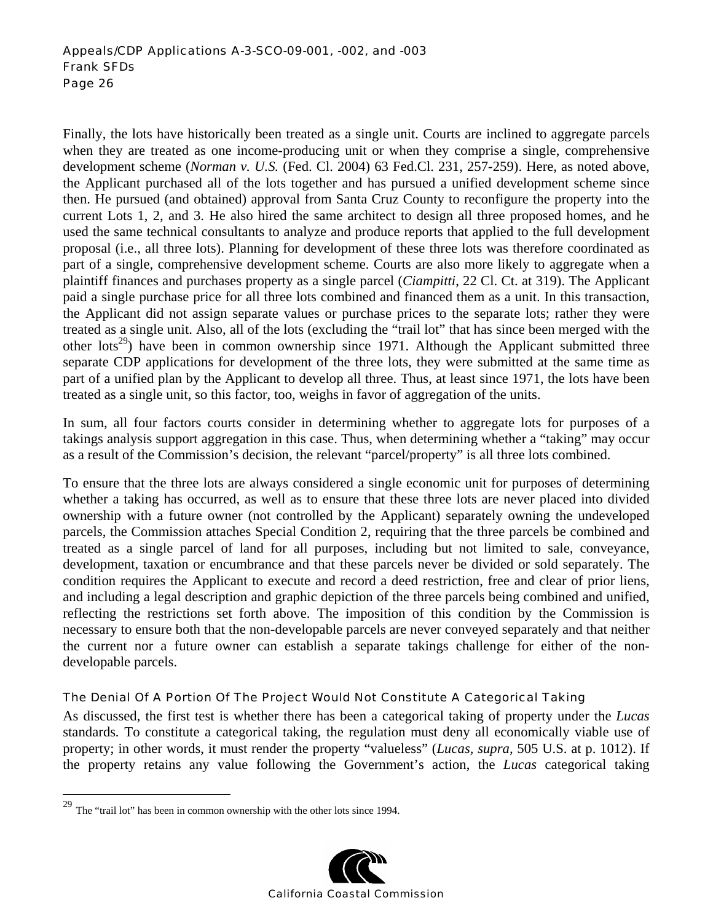Finally, the lots have historically been treated as a single unit. Courts are inclined to aggregate parcels when they are treated as one income-producing unit or when they comprise a single, comprehensive development scheme (*Norman v. U.S.* (Fed. Cl. 2004) 63 Fed.Cl. 231, 257-259). Here, as noted above, the Applicant purchased all of the lots together and has pursued a unified development scheme since then. He pursued (and obtained) approval from Santa Cruz County to reconfigure the property into the current Lots 1, 2, and 3. He also hired the same architect to design all three proposed homes, and he used the same technical consultants to analyze and produce reports that applied to the full development proposal (i.e., all three lots). Planning for development of these three lots was therefore coordinated as part of a single, comprehensive development scheme. Courts are also more likely to aggregate when a plaintiff finances and purchases property as a single parcel (*Ciampitti*, 22 Cl. Ct. at 319). The Applicant paid a single purchase price for all three lots combined and financed them as a unit. In this transaction, the Applicant did not assign separate values or purchase prices to the separate lots; rather they were treated as a single unit. Also, all of the lots (excluding the "trail lot" that has since been merged with the other lots<sup>29</sup>) have been in common ownership since 1971. Although the Applicant submitted three separate CDP applications for development of the three lots, they were submitted at the same time as part of a unified plan by the Applicant to develop all three. Thus, at least since 1971, the lots have been treated as a single unit, so this factor, too, weighs in favor of aggregation of the units.

In sum, all four factors courts consider in determining whether to aggregate lots for purposes of a takings analysis support aggregation in this case. Thus, when determining whether a "taking" may occur as a result of the Commission's decision, the relevant "parcel/property" is all three lots combined.

To ensure that the three lots are always considered a single economic unit for purposes of determining whether a taking has occurred, as well as to ensure that these three lots are never placed into divided ownership with a future owner (not controlled by the Applicant) separately owning the undeveloped parcels, the Commission attaches Special Condition 2, requiring that the three parcels be combined and treated as a single parcel of land for all purposes, including but not limited to sale, conveyance, development, taxation or encumbrance and that these parcels never be divided or sold separately. The condition requires the Applicant to execute and record a deed restriction, free and clear of prior liens, and including a legal description and graphic depiction of the three parcels being combined and unified, reflecting the restrictions set forth above. The imposition of this condition by the Commission is necessary to ensure both that the non-developable parcels are never conveyed separately and that neither the current nor a future owner can establish a separate takings challenge for either of the nondevelopable parcels.

#### The Denial Of A Portion Of The Project Would Not Constitute A Categorical Taking

As discussed, the first test is whether there has been a categorical taking of property under the *Lucas*  standards*.* To constitute a categorical taking, the regulation must deny all economically viable use of property; in other words, it must render the property "valueless" (*Lucas, supra,* 505 U.S. at p. 1012). If the property retains any value following the Government's action, the *Lucas* categorical taking

 $\overline{a}$ 



<sup>&</sup>lt;sup>29</sup> The "trail lot" has been in common ownership with the other lots since 1994.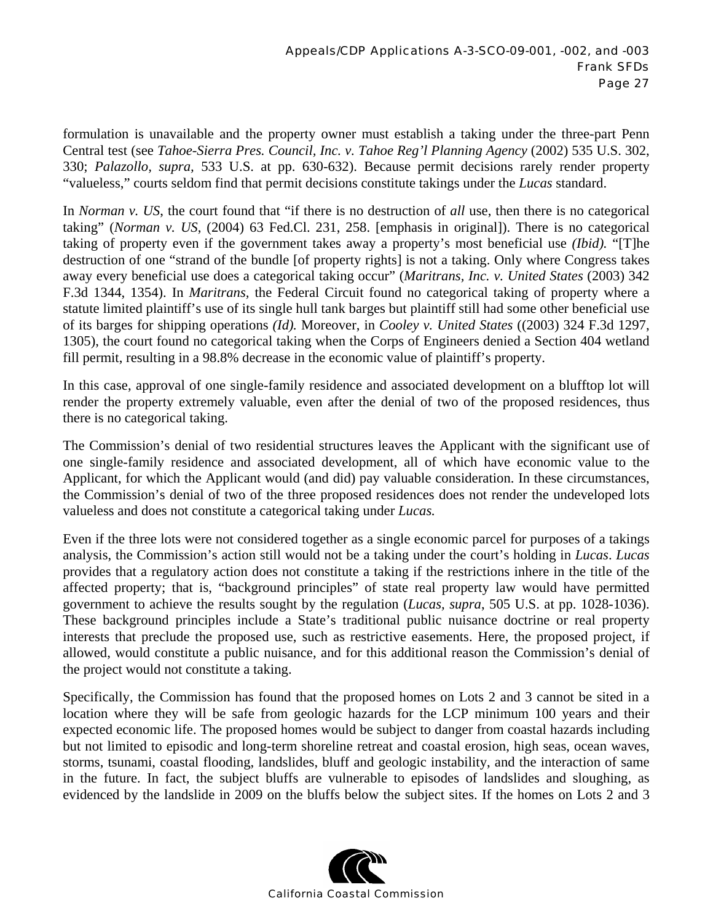formulation is unavailable and the property owner must establish a taking under the three-part Penn Central test (see *Tahoe-Sierra Pres. Council, Inc. v. Tahoe Reg'l Planning Agency* (2002) 535 U.S. 302, 330; *Palazollo, supra,* 533 U.S. at pp. 630-632). Because permit decisions rarely render property "valueless," courts seldom find that permit decisions constitute takings under the *Lucas* standard.

In *Norman v. US*, the court found that "if there is no destruction of *all* use, then there is no categorical taking" (*Norman v. US*, (2004) 63 Fed.Cl. 231, 258. [emphasis in original]). There is no categorical taking of property even if the government takes away a property's most beneficial use *(Ibid).* "[T]he destruction of one "strand of the bundle [of property rights] is not a taking. Only where Congress takes away every beneficial use does a categorical taking occur" (*Maritrans, Inc. v. United States* (2003) 342 F.3d 1344, 1354). In *Maritrans,* the Federal Circuit found no categorical taking of property where a statute limited plaintiff's use of its single hull tank barges but plaintiff still had some other beneficial use of its barges for shipping operations *(Id).* Moreover, in *Cooley v. United States* ((2003) 324 F.3d 1297, 1305), the court found no categorical taking when the Corps of Engineers denied a Section 404 wetland fill permit, resulting in a 98.8% decrease in the economic value of plaintiff's property.

In this case, approval of one single-family residence and associated development on a blufftop lot will render the property extremely valuable, even after the denial of two of the proposed residences, thus there is no categorical taking.

The Commission's denial of two residential structures leaves the Applicant with the significant use of one single-family residence and associated development, all of which have economic value to the Applicant, for which the Applicant would (and did) pay valuable consideration. In these circumstances, the Commission's denial of two of the three proposed residences does not render the undeveloped lots valueless and does not constitute a categorical taking under *Lucas.* 

Even if the three lots were not considered together as a single economic parcel for purposes of a takings analysis, the Commission's action still would not be a taking under the court's holding in *Lucas*. *Lucas* provides that a regulatory action does not constitute a taking if the restrictions inhere in the title of the affected property; that is, "background principles" of state real property law would have permitted government to achieve the results sought by the regulation (*Lucas, supra*, 505 U.S. at pp. 1028-1036). These background principles include a State's traditional public nuisance doctrine or real property interests that preclude the proposed use, such as restrictive easements. Here, the proposed project, if allowed, would constitute a public nuisance, and for this additional reason the Commission's denial of the project would not constitute a taking.

Specifically, the Commission has found that the proposed homes on Lots 2 and 3 cannot be sited in a location where they will be safe from geologic hazards for the LCP minimum 100 years and their expected economic life. The proposed homes would be subject to danger from coastal hazards including but not limited to episodic and long-term shoreline retreat and coastal erosion, high seas, ocean waves, storms, tsunami, coastal flooding, landslides, bluff and geologic instability, and the interaction of same in the future. In fact, the subject bluffs are vulnerable to episodes of landslides and sloughing, as evidenced by the landslide in 2009 on the bluffs below the subject sites. If the homes on Lots 2 and 3

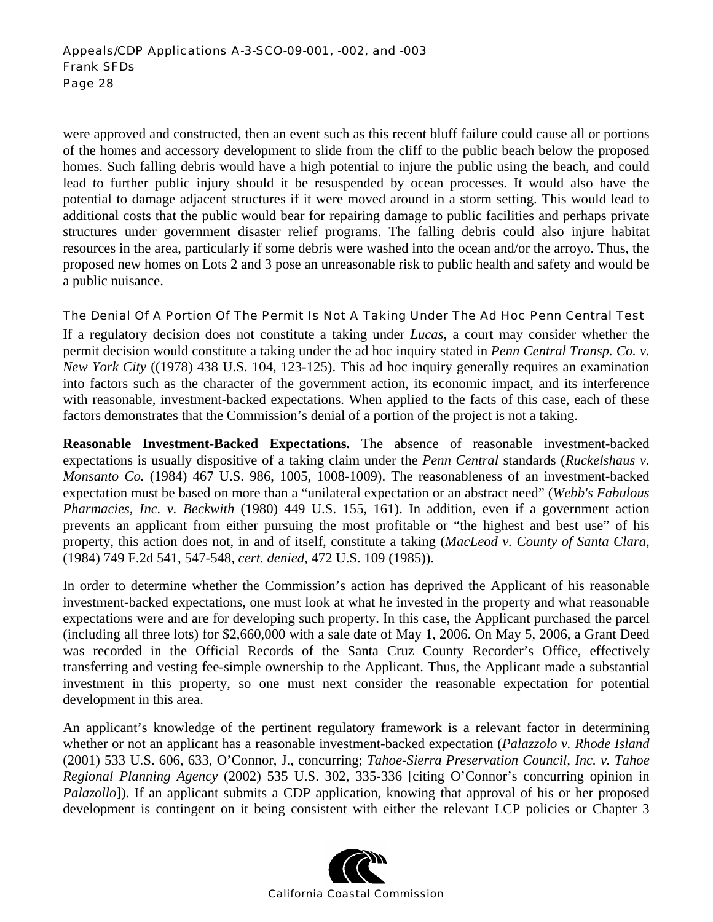were approved and constructed, then an event such as this recent bluff failure could cause all or portions of the homes and accessory development to slide from the cliff to the public beach below the proposed homes. Such falling debris would have a high potential to injure the public using the beach, and could lead to further public injury should it be resuspended by ocean processes. It would also have the potential to damage adjacent structures if it were moved around in a storm setting. This would lead to additional costs that the public would bear for repairing damage to public facilities and perhaps private structures under government disaster relief programs. The falling debris could also injure habitat resources in the area, particularly if some debris were washed into the ocean and/or the arroyo. Thus, the proposed new homes on Lots 2 and 3 pose an unreasonable risk to public health and safety and would be a public nuisance.

#### The Denial Of A Portion Of The Permit Is Not A Taking Under The Ad Hoc Penn Central Test

If a regulatory decision does not constitute a taking under *Lucas*, a court may consider whether the permit decision would constitute a taking under the ad hoc inquiry stated in *Penn Central Transp. Co. v. New York City* ((1978) 438 U.S. 104, 123-125). This ad hoc inquiry generally requires an examination into factors such as the character of the government action, its economic impact, and its interference with reasonable, investment-backed expectations. When applied to the facts of this case, each of these factors demonstrates that the Commission's denial of a portion of the project is not a taking.

**Reasonable Investment-Backed Expectations.** The absence of reasonable investment-backed expectations is usually dispositive of a taking claim under the *Penn Central* standards (*Ruckelshaus v. Monsanto Co.* (1984) 467 U.S. 986, 1005, 1008-1009). The reasonableness of an investment-backed expectation must be based on more than a "unilateral expectation or an abstract need" (*Webb's Fabulous Pharmacies, Inc. v. Beckwith* (1980) 449 U.S. 155, 161). In addition, even if a government action prevents an applicant from either pursuing the most profitable or "the highest and best use" of his property, this action does not, in and of itself, constitute a taking (*MacLeod v. County of Santa Clara*, (1984) 749 F.2d 541, 547-548, *cert. denied*, 472 U.S. 109 (1985)).

In order to determine whether the Commission's action has deprived the Applicant of his reasonable investment-backed expectations, one must look at what he invested in the property and what reasonable expectations were and are for developing such property. In this case, the Applicant purchased the parcel (including all three lots) for \$2,660,000 with a sale date of May 1, 2006. On May 5, 2006, a Grant Deed was recorded in the Official Records of the Santa Cruz County Recorder's Office, effectively transferring and vesting fee-simple ownership to the Applicant. Thus, the Applicant made a substantial investment in this property, so one must next consider the reasonable expectation for potential development in this area.

An applicant's knowledge of the pertinent regulatory framework is a relevant factor in determining whether or not an applicant has a reasonable investment-backed expectation (*Palazzolo v. Rhode Island*  (2001) 533 U.S. 606, 633, O'Connor, J., concurring; *Tahoe-Sierra Preservation Council, Inc. v. Tahoe Regional Planning Agency* (2002) 535 U.S. 302, 335-336 [citing O'Connor's concurring opinion in *Palazollo*]). If an applicant submits a CDP application, knowing that approval of his or her proposed development is contingent on it being consistent with either the relevant LCP policies or Chapter 3

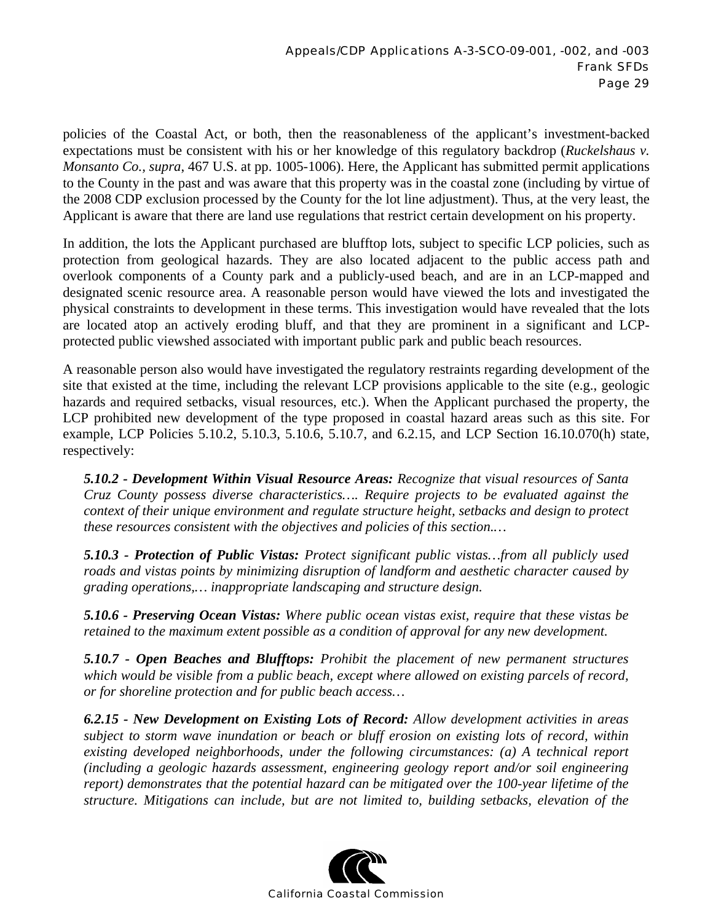policies of the Coastal Act, or both, then the reasonableness of the applicant's investment-backed expectations must be consistent with his or her knowledge of this regulatory backdrop (*Ruckelshaus v. Monsanto Co., supra*, 467 U.S. at pp. 1005-1006). Here, the Applicant has submitted permit applications to the County in the past and was aware that this property was in the coastal zone (including by virtue of the 2008 CDP exclusion processed by the County for the lot line adjustment). Thus, at the very least, the Applicant is aware that there are land use regulations that restrict certain development on his property.

In addition, the lots the Applicant purchased are blufftop lots, subject to specific LCP policies, such as protection from geological hazards. They are also located adjacent to the public access path and overlook components of a County park and a publicly-used beach, and are in an LCP-mapped and designated scenic resource area. A reasonable person would have viewed the lots and investigated the physical constraints to development in these terms. This investigation would have revealed that the lots are located atop an actively eroding bluff, and that they are prominent in a significant and LCPprotected public viewshed associated with important public park and public beach resources.

A reasonable person also would have investigated the regulatory restraints regarding development of the site that existed at the time, including the relevant LCP provisions applicable to the site (e.g., geologic hazards and required setbacks, visual resources, etc.). When the Applicant purchased the property, the LCP prohibited new development of the type proposed in coastal hazard areas such as this site. For example, LCP Policies 5.10.2, 5.10.3, 5.10.6, 5.10.7, and 6.2.15, and LCP Section 16.10.070(h) state, respectively:

*5.10.2 - Development Within Visual Resource Areas: Recognize that visual resources of Santa Cruz County possess diverse characteristics…. Require projects to be evaluated against the context of their unique environment and regulate structure height, setbacks and design to protect these resources consistent with the objectives and policies of this section.…* 

*5.10.3 - Protection of Public Vistas: Protect significant public vistas…from all publicly used roads and vistas points by minimizing disruption of landform and aesthetic character caused by grading operations,… inappropriate landscaping and structure design.* 

*5.10.6 - Preserving Ocean Vistas: Where public ocean vistas exist, require that these vistas be retained to the maximum extent possible as a condition of approval for any new development.* 

*5.10.7 - Open Beaches and Blufftops: Prohibit the placement of new permanent structures which would be visible from a public beach, except where allowed on existing parcels of record, or for shoreline protection and for public beach access…* 

*6.2.15 - New Development on Existing Lots of Record: Allow development activities in areas subject to storm wave inundation or beach or bluff erosion on existing lots of record, within existing developed neighborhoods, under the following circumstances: (a) A technical report (including a geologic hazards assessment, engineering geology report and/or soil engineering report) demonstrates that the potential hazard can be mitigated over the 100-year lifetime of the structure. Mitigations can include, but are not limited to, building setbacks, elevation of the* 

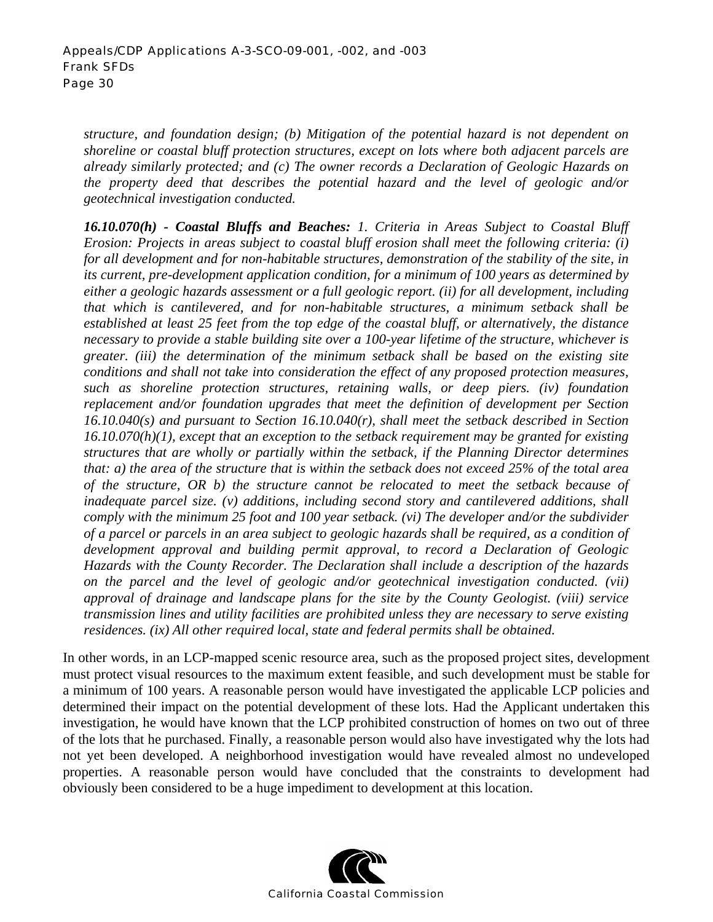*structure, and foundation design; (b) Mitigation of the potential hazard is not dependent on shoreline or coastal bluff protection structures, except on lots where both adjacent parcels are already similarly protected; and (c) The owner records a Declaration of Geologic Hazards on the property deed that describes the potential hazard and the level of geologic and/or geotechnical investigation conducted.* 

*16.10.070(h) - Coastal Bluffs and Beaches: 1. Criteria in Areas Subject to Coastal Bluff Erosion: Projects in areas subject to coastal bluff erosion shall meet the following criteria: (i) for all development and for non-habitable structures, demonstration of the stability of the site, in its current, pre-development application condition, for a minimum of 100 years as determined by either a geologic hazards assessment or a full geologic report. (ii) for all development, including that which is cantilevered, and for non-habitable structures, a minimum setback shall be established at least 25 feet from the top edge of the coastal bluff, or alternatively, the distance necessary to provide a stable building site over a 100-year lifetime of the structure, whichever is greater. (iii) the determination of the minimum setback shall be based on the existing site conditions and shall not take into consideration the effect of any proposed protection measures, such as shoreline protection structures, retaining walls, or deep piers. (iv) foundation replacement and/or foundation upgrades that meet the definition of development per Section 16.10.040(s) and pursuant to Section 16.10.040(r), shall meet the setback described in Section 16.10.070(h)(1), except that an exception to the setback requirement may be granted for existing structures that are wholly or partially within the setback, if the Planning Director determines that: a) the area of the structure that is within the setback does not exceed 25% of the total area of the structure, OR b) the structure cannot be relocated to meet the setback because of inadequate parcel size. (v) additions, including second story and cantilevered additions, shall comply with the minimum 25 foot and 100 year setback. (vi) The developer and/or the subdivider of a parcel or parcels in an area subject to geologic hazards shall be required, as a condition of development approval and building permit approval, to record a Declaration of Geologic Hazards with the County Recorder. The Declaration shall include a description of the hazards on the parcel and the level of geologic and/or geotechnical investigation conducted. (vii) approval of drainage and landscape plans for the site by the County Geologist. (viii) service transmission lines and utility facilities are prohibited unless they are necessary to serve existing residences. (ix) All other required local, state and federal permits shall be obtained.* 

In other words, in an LCP-mapped scenic resource area, such as the proposed project sites, development must protect visual resources to the maximum extent feasible, and such development must be stable for a minimum of 100 years. A reasonable person would have investigated the applicable LCP policies and determined their impact on the potential development of these lots. Had the Applicant undertaken this investigation, he would have known that the LCP prohibited construction of homes on two out of three of the lots that he purchased. Finally, a reasonable person would also have investigated why the lots had not yet been developed. A neighborhood investigation would have revealed almost no undeveloped properties. A reasonable person would have concluded that the constraints to development had obviously been considered to be a huge impediment to development at this location.

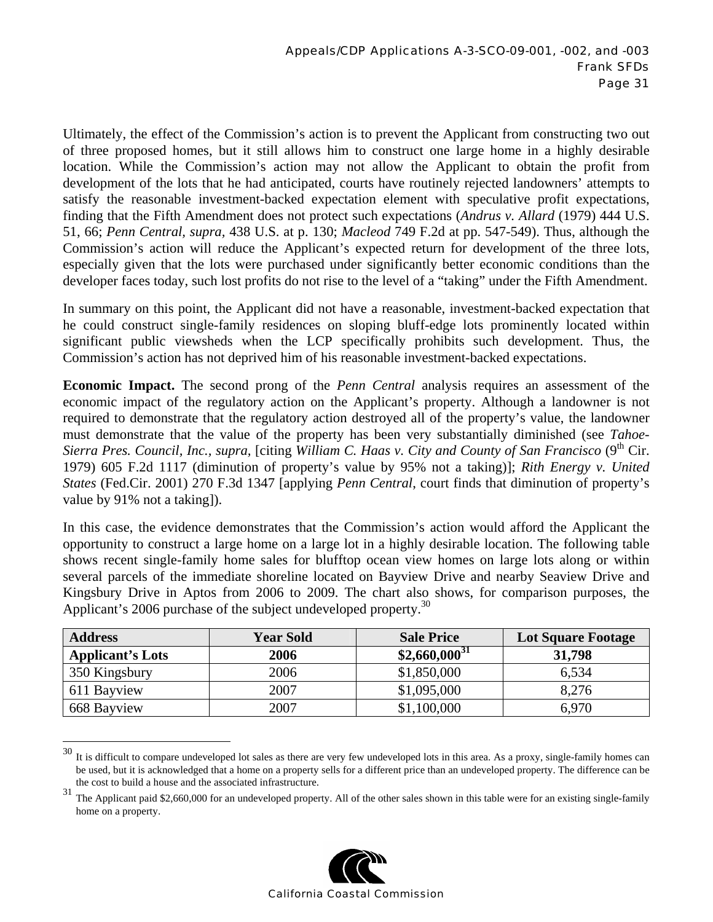Ultimately, the effect of the Commission's action is to prevent the Applicant from constructing two out of three proposed homes, but it still allows him to construct one large home in a highly desirable location. While the Commission's action may not allow the Applicant to obtain the profit from development of the lots that he had anticipated, courts have routinely rejected landowners' attempts to satisfy the reasonable investment-backed expectation element with speculative profit expectations, finding that the Fifth Amendment does not protect such expectations (*Andrus v. Allard* (1979) 444 U.S. 51, 66; *Penn Central, supra,* 438 U.S. at p. 130; *Macleod* 749 F.2d at pp. 547-549). Thus, although the Commission's action will reduce the Applicant's expected return for development of the three lots, especially given that the lots were purchased under significantly better economic conditions than the developer faces today, such lost profits do not rise to the level of a "taking" under the Fifth Amendment.

In summary on this point, the Applicant did not have a reasonable, investment-backed expectation that he could construct single-family residences on sloping bluff-edge lots prominently located within significant public viewsheds when the LCP specifically prohibits such development. Thus, the Commission's action has not deprived him of his reasonable investment-backed expectations.

**Economic Impact.** The second prong of the *Penn Central* analysis requires an assessment of the economic impact of the regulatory action on the Applicant's property. Although a landowner is not required to demonstrate that the regulatory action destroyed all of the property's value, the landowner must demonstrate that the value of the property has been very substantially diminished (see *Tahoe-Sierra Pres. Council, Inc., supra,* [citing *William C. Haas v. City and County of San Francisco* (9<sup>th</sup> Cir. 1979) 605 F.2d 1117 (diminution of property's value by 95% not a taking)]; *Rith Energy v. United States* (Fed.Cir. 2001) 270 F.3d 1347 [applying *Penn Central*, court finds that diminution of property's value by 91% not a taking]).

In this case, the evidence demonstrates that the Commission's action would afford the Applicant the opportunity to construct a large home on a large lot in a highly desirable location. The following table shows recent single-family home sales for blufftop ocean view homes on large lots along or within several parcels of the immediate shoreline located on Bayview Drive and nearby Seaview Drive and Kingsbury Drive in Aptos from 2006 to 2009. The chart also shows, for comparison purposes, the Applicant's 2006 purchase of the subject undeveloped property.<sup>30</sup>

| <b>Address</b>          | <b>Year Sold</b> | <b>Sale Price</b> | <b>Lot Square Footage</b> |
|-------------------------|------------------|-------------------|---------------------------|
| <b>Applicant's Lots</b> | 2006             | $$2,660,000^{31}$ | 31,798                    |
| 350 Kingsbury           | 2006             | \$1,850,000       | 6,534                     |
| 611 Bayview             | 2007             | \$1,095,000       | 8,276                     |
| 668 Bayview             | 2007             | \$1,100,000       | 6,970                     |

 $30\,$  It is difficult to compare undeveloped lot sales as there are very few undeveloped lots in this area. As a proxy, single-family homes can be used, but it is acknowledged that a home on a property sells for a different price than an undeveloped property. The difference can be the cost to build a house and the associated infrastructure.

 $\overline{a}$ 

<sup>&</sup>lt;sup>31</sup> The Applicant paid \$2,660,000 for an undeveloped property. All of the other sales shown in this table were for an existing single-family home on a property.

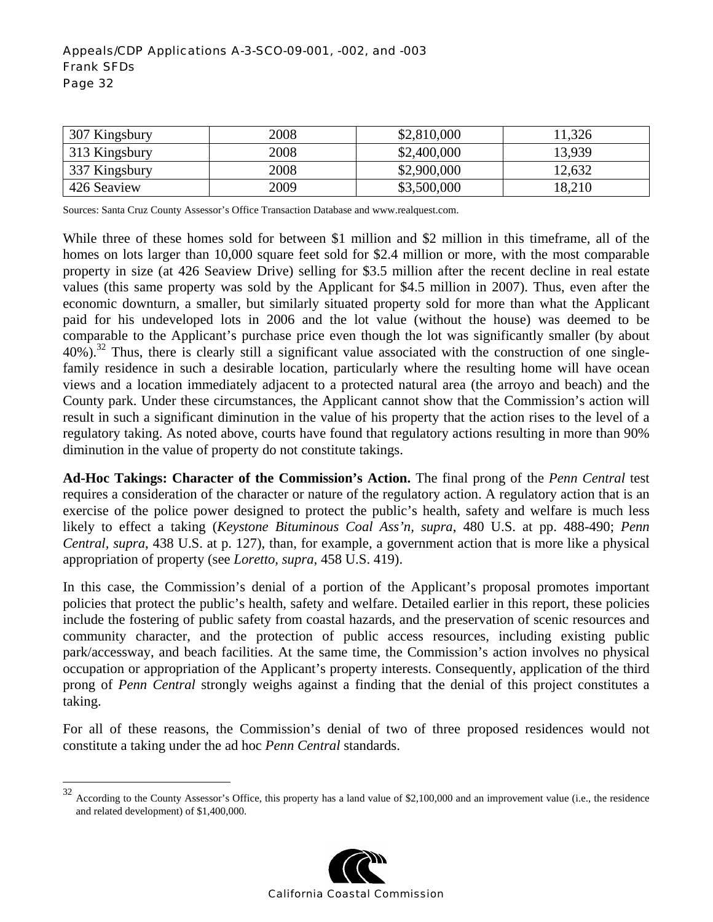#### Appeals/CDP Applications A-3-SCO-09-001, -002, and -003 Frank SFDs Page 32

| 307 Kingsbury | 2008 | \$2,810,000 | 11,326 |
|---------------|------|-------------|--------|
| 313 Kingsbury | 2008 | \$2,400,000 | 13.939 |
| 337 Kingsbury | 2008 | \$2,900,000 | 12.632 |
| 426 Seaview   | 2009 | \$3,500,000 | 18,210 |

Sources: Santa Cruz County Assessor's Office Transaction Database and www.realquest.com.

While three of these homes sold for between \$1 million and \$2 million in this timeframe, all of the homes on lots larger than 10,000 square feet sold for \$2.4 million or more, with the most comparable property in size (at 426 Seaview Drive) selling for \$3.5 million after the recent decline in real estate values (this same property was sold by the Applicant for \$4.5 million in 2007). Thus, even after the economic downturn, a smaller, but similarly situated property sold for more than what the Applicant paid for his undeveloped lots in 2006 and the lot value (without the house) was deemed to be comparable to the Applicant's purchase price even though the lot was significantly smaller (by about  $40\%$ ).<sup>32</sup> Thus, there is clearly still a significant value associated with the construction of one singlefamily residence in such a desirable location, particularly where the resulting home will have ocean views and a location immediately adjacent to a protected natural area (the arroyo and beach) and the County park. Under these circumstances, the Applicant cannot show that the Commission's action will result in such a significant diminution in the value of his property that the action rises to the level of a regulatory taking. As noted above, courts have found that regulatory actions resulting in more than 90% diminution in the value of property do not constitute takings.

**Ad-Hoc Takings: Character of the Commission's Action.** The final prong of the *Penn Central* test requires a consideration of the character or nature of the regulatory action. A regulatory action that is an exercise of the police power designed to protect the public's health, safety and welfare is much less likely to effect a taking (*Keystone Bituminous Coal Ass'n, supra*, 480 U.S. at pp. 488-490; *Penn Central, supra*, 438 U.S. at p. 127), than, for example, a government action that is more like a physical appropriation of property (see *Loretto, supra*, 458 U.S. 419).

In this case, the Commission's denial of a portion of the Applicant's proposal promotes important policies that protect the public's health, safety and welfare. Detailed earlier in this report, these policies include the fostering of public safety from coastal hazards, and the preservation of scenic resources and community character, and the protection of public access resources, including existing public park/accessway, and beach facilities. At the same time, the Commission's action involves no physical occupation or appropriation of the Applicant's property interests. Consequently, application of the third prong of *Penn Central* strongly weighs against a finding that the denial of this project constitutes a taking.

For all of these reasons, the Commission's denial of two of three proposed residences would not constitute a taking under the ad hoc *Penn Central* standards.

 $\overline{a}$ 



 $32$  According to the County Assessor's Office, this property has a land value of \$2,100,000 and an improvement value (i.e., the residence and related development) of \$1,400,000.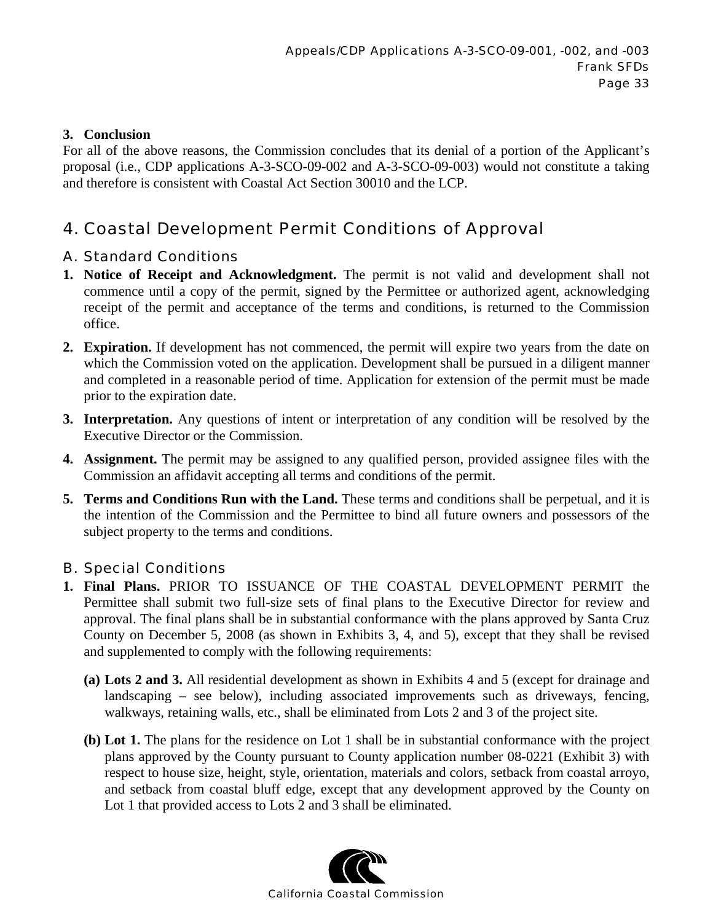## **3. Conclusion**

For all of the above reasons, the Commission concludes that its denial of a portion of the Applicant's proposal (i.e., CDP applications A-3-SCO-09-002 and A-3-SCO-09-003) would not constitute a taking and therefore is consistent with Coastal Act Section 30010 and the LCP.

# 4. Coastal Development Permit Conditions of Approval

## A. Standard Conditions

- **1. Notice of Receipt and Acknowledgment.** The permit is not valid and development shall not commence until a copy of the permit, signed by the Permittee or authorized agent, acknowledging receipt of the permit and acceptance of the terms and conditions, is returned to the Commission office.
- **2. Expiration.** If development has not commenced, the permit will expire two years from the date on which the Commission voted on the application. Development shall be pursued in a diligent manner and completed in a reasonable period of time. Application for extension of the permit must be made prior to the expiration date.
- **3. Interpretation.** Any questions of intent or interpretation of any condition will be resolved by the Executive Director or the Commission.
- **4. Assignment.** The permit may be assigned to any qualified person, provided assignee files with the Commission an affidavit accepting all terms and conditions of the permit.
- **5. Terms and Conditions Run with the Land.** These terms and conditions shall be perpetual, and it is the intention of the Commission and the Permittee to bind all future owners and possessors of the subject property to the terms and conditions.

## B. Special Conditions

- **1. Final Plans.** PRIOR TO ISSUANCE OF THE COASTAL DEVELOPMENT PERMIT the Permittee shall submit two full-size sets of final plans to the Executive Director for review and approval. The final plans shall be in substantial conformance with the plans approved by Santa Cruz County on December 5, 2008 (as shown in Exhibits 3, 4, and 5), except that they shall be revised and supplemented to comply with the following requirements:
	- **(a) Lots 2 and 3.** All residential development as shown in Exhibits 4 and 5 (except for drainage and landscaping – see below), including associated improvements such as driveways, fencing, walkways, retaining walls, etc., shall be eliminated from Lots 2 and 3 of the project site.
	- **(b) Lot 1.** The plans for the residence on Lot 1 shall be in substantial conformance with the project plans approved by the County pursuant to County application number 08-0221 (Exhibit 3) with respect to house size, height, style, orientation, materials and colors, setback from coastal arroyo, and setback from coastal bluff edge, except that any development approved by the County on Lot 1 that provided access to Lots 2 and 3 shall be eliminated.

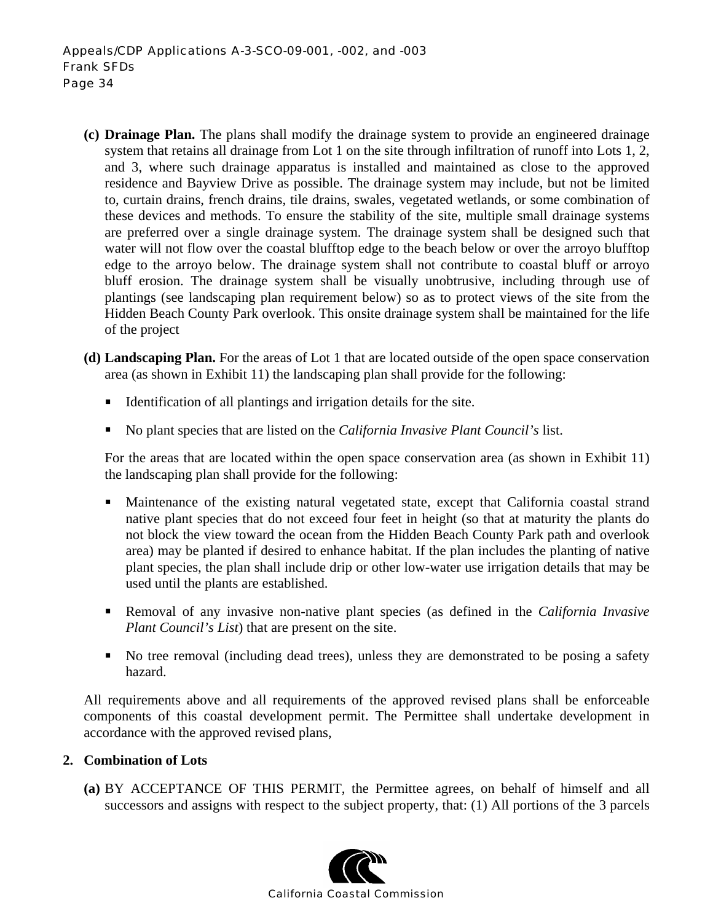- **(c) Drainage Plan.** The plans shall modify the drainage system to provide an engineered drainage system that retains all drainage from Lot 1 on the site through infiltration of runoff into Lots 1, 2, and 3, where such drainage apparatus is installed and maintained as close to the approved residence and Bayview Drive as possible. The drainage system may include, but not be limited to, curtain drains, french drains, tile drains, swales, vegetated wetlands, or some combination of these devices and methods. To ensure the stability of the site, multiple small drainage systems are preferred over a single drainage system. The drainage system shall be designed such that water will not flow over the coastal blufftop edge to the beach below or over the arroyo blufftop edge to the arroyo below. The drainage system shall not contribute to coastal bluff or arroyo bluff erosion. The drainage system shall be visually unobtrusive, including through use of plantings (see landscaping plan requirement below) so as to protect views of the site from the Hidden Beach County Park overlook. This onsite drainage system shall be maintained for the life of the project
- **(d) Landscaping Plan.** For the areas of Lot 1 that are located outside of the open space conservation area (as shown in Exhibit 11) the landscaping plan shall provide for the following:
	- Identification of all plantings and irrigation details for the site.
	- No plant species that are listed on the *California Invasive Plant Council's* list.

For the areas that are located within the open space conservation area (as shown in Exhibit 11) the landscaping plan shall provide for the following:

- Maintenance of the existing natural vegetated state, except that California coastal strand native plant species that do not exceed four feet in height (so that at maturity the plants do not block the view toward the ocean from the Hidden Beach County Park path and overlook area) may be planted if desired to enhance habitat. If the plan includes the planting of native plant species, the plan shall include drip or other low-water use irrigation details that may be used until the plants are established.
- Removal of any invasive non-native plant species (as defined in the *California Invasive Plant Council's List*) that are present on the site.
- No tree removal (including dead trees), unless they are demonstrated to be posing a safety hazard.

All requirements above and all requirements of the approved revised plans shall be enforceable components of this coastal development permit. The Permittee shall undertake development in accordance with the approved revised plans,

#### **2. Combination of Lots**

**(a)** BY ACCEPTANCE OF THIS PERMIT, the Permittee agrees, on behalf of himself and all successors and assigns with respect to the subject property, that: (1) All portions of the 3 parcels

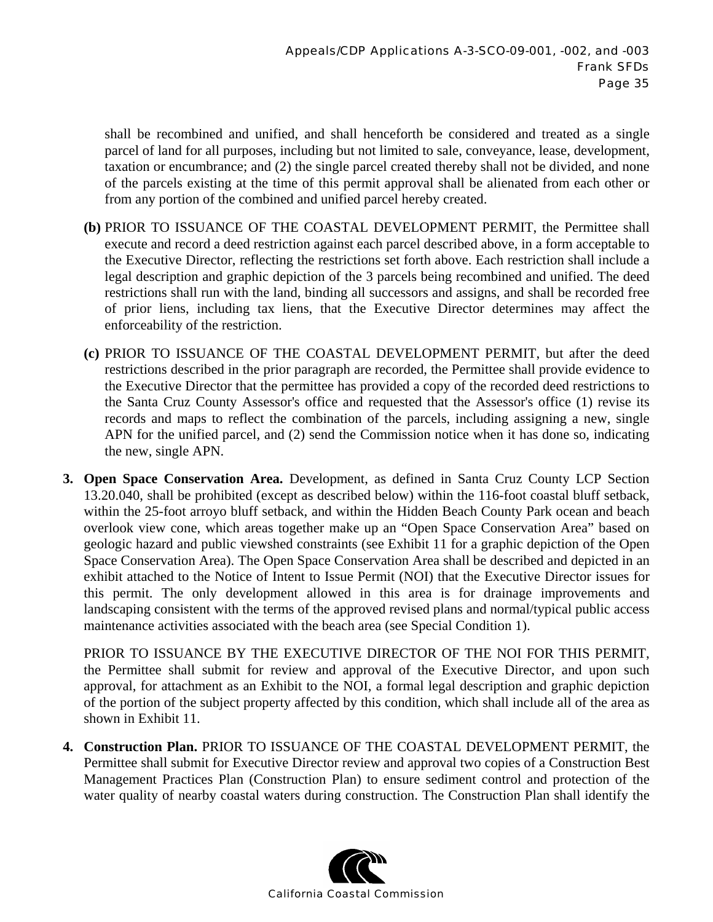shall be recombined and unified, and shall henceforth be considered and treated as a single parcel of land for all purposes, including but not limited to sale, conveyance, lease, development, taxation or encumbrance; and (2) the single parcel created thereby shall not be divided, and none of the parcels existing at the time of this permit approval shall be alienated from each other or from any portion of the combined and unified parcel hereby created.

- **(b)** PRIOR TO ISSUANCE OF THE COASTAL DEVELOPMENT PERMIT, the Permittee shall execute and record a deed restriction against each parcel described above, in a form acceptable to the Executive Director, reflecting the restrictions set forth above. Each restriction shall include a legal description and graphic depiction of the 3 parcels being recombined and unified. The deed restrictions shall run with the land, binding all successors and assigns, and shall be recorded free of prior liens, including tax liens, that the Executive Director determines may affect the enforceability of the restriction.
- **(c)** PRIOR TO ISSUANCE OF THE COASTAL DEVELOPMENT PERMIT, but after the deed restrictions described in the prior paragraph are recorded, the Permittee shall provide evidence to the Executive Director that the permittee has provided a copy of the recorded deed restrictions to the Santa Cruz County Assessor's office and requested that the Assessor's office (1) revise its records and maps to reflect the combination of the parcels, including assigning a new, single APN for the unified parcel, and (2) send the Commission notice when it has done so, indicating the new, single APN.
- **3. Open Space Conservation Area.** Development, as defined in Santa Cruz County LCP Section 13.20.040, shall be prohibited (except as described below) within the 116-foot coastal bluff setback, within the 25-foot arroyo bluff setback, and within the Hidden Beach County Park ocean and beach overlook view cone, which areas together make up an "Open Space Conservation Area" based on geologic hazard and public viewshed constraints (see Exhibit 11 for a graphic depiction of the Open Space Conservation Area). The Open Space Conservation Area shall be described and depicted in an exhibit attached to the Notice of Intent to Issue Permit (NOI) that the Executive Director issues for this permit. The only development allowed in this area is for drainage improvements and landscaping consistent with the terms of the approved revised plans and normal/typical public access maintenance activities associated with the beach area (see Special Condition 1).

PRIOR TO ISSUANCE BY THE EXECUTIVE DIRECTOR OF THE NOI FOR THIS PERMIT, the Permittee shall submit for review and approval of the Executive Director, and upon such approval, for attachment as an Exhibit to the NOI, a formal legal description and graphic depiction of the portion of the subject property affected by this condition, which shall include all of the area as shown in Exhibit 11.

**4. Construction Plan.** PRIOR TO ISSUANCE OF THE COASTAL DEVELOPMENT PERMIT, the Permittee shall submit for Executive Director review and approval two copies of a Construction Best Management Practices Plan (Construction Plan) to ensure sediment control and protection of the water quality of nearby coastal waters during construction. The Construction Plan shall identify the

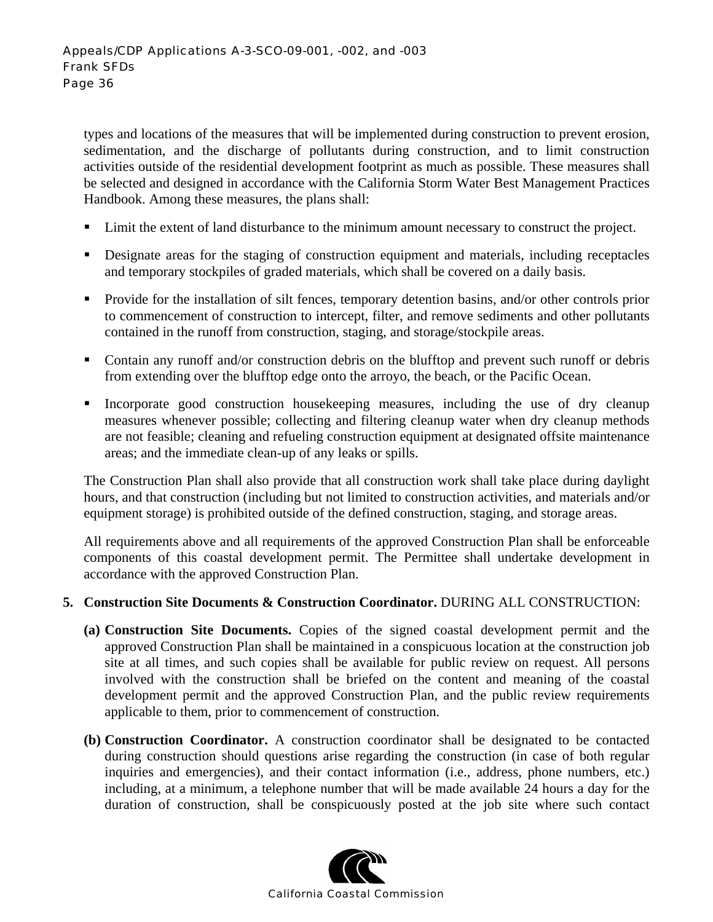types and locations of the measures that will be implemented during construction to prevent erosion, sedimentation, and the discharge of pollutants during construction, and to limit construction activities outside of the residential development footprint as much as possible. These measures shall be selected and designed in accordance with the California Storm Water Best Management Practices Handbook. Among these measures, the plans shall:

- Limit the extent of land disturbance to the minimum amount necessary to construct the project.
- Designate areas for the staging of construction equipment and materials, including receptacles and temporary stockpiles of graded materials, which shall be covered on a daily basis.
- **Provide for the installation of silt fences, temporary detention basins, and/or other controls prior** to commencement of construction to intercept, filter, and remove sediments and other pollutants contained in the runoff from construction, staging, and storage/stockpile areas.
- Contain any runoff and/or construction debris on the blufftop and prevent such runoff or debris from extending over the blufftop edge onto the arroyo, the beach, or the Pacific Ocean.
- Incorporate good construction housekeeping measures, including the use of dry cleanup measures whenever possible; collecting and filtering cleanup water when dry cleanup methods are not feasible; cleaning and refueling construction equipment at designated offsite maintenance areas; and the immediate clean-up of any leaks or spills.

 The Construction Plan shall also provide that all construction work shall take place during daylight hours, and that construction (including but not limited to construction activities, and materials and/or equipment storage) is prohibited outside of the defined construction, staging, and storage areas.

All requirements above and all requirements of the approved Construction Plan shall be enforceable components of this coastal development permit. The Permittee shall undertake development in accordance with the approved Construction Plan.

#### **5. Construction Site Documents & Construction Coordinator.** DURING ALL CONSTRUCTION:

- **(a) Construction Site Documents.** Copies of the signed coastal development permit and the approved Construction Plan shall be maintained in a conspicuous location at the construction job site at all times, and such copies shall be available for public review on request. All persons involved with the construction shall be briefed on the content and meaning of the coastal development permit and the approved Construction Plan, and the public review requirements applicable to them, prior to commencement of construction.
- **(b) Construction Coordinator.** A construction coordinator shall be designated to be contacted during construction should questions arise regarding the construction (in case of both regular inquiries and emergencies), and their contact information (i.e., address, phone numbers, etc.) including, at a minimum, a telephone number that will be made available 24 hours a day for the duration of construction, shall be conspicuously posted at the job site where such contact

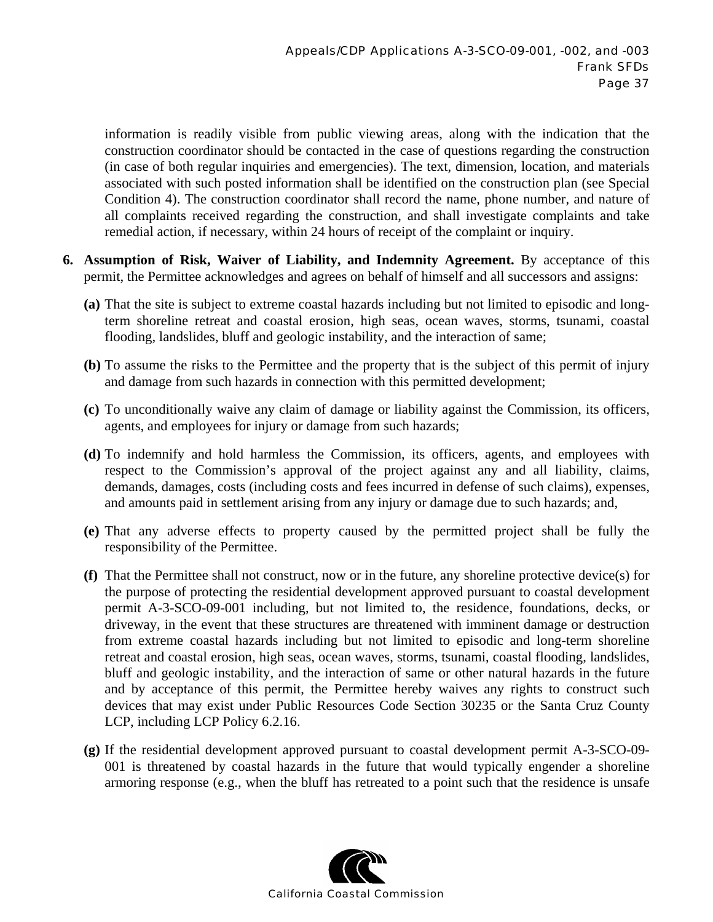information is readily visible from public viewing areas, along with the indication that the construction coordinator should be contacted in the case of questions regarding the construction (in case of both regular inquiries and emergencies). The text, dimension, location, and materials associated with such posted information shall be identified on the construction plan (see Special Condition 4). The construction coordinator shall record the name, phone number, and nature of all complaints received regarding the construction, and shall investigate complaints and take remedial action, if necessary, within 24 hours of receipt of the complaint or inquiry.

- **6. Assumption of Risk, Waiver of Liability, and Indemnity Agreement.** By acceptance of this permit, the Permittee acknowledges and agrees on behalf of himself and all successors and assigns:
	- **(a)** That the site is subject to extreme coastal hazards including but not limited to episodic and longterm shoreline retreat and coastal erosion, high seas, ocean waves, storms, tsunami, coastal flooding, landslides, bluff and geologic instability, and the interaction of same;
	- **(b)** To assume the risks to the Permittee and the property that is the subject of this permit of injury and damage from such hazards in connection with this permitted development;
	- **(c)** To unconditionally waive any claim of damage or liability against the Commission, its officers, agents, and employees for injury or damage from such hazards;
	- **(d)** To indemnify and hold harmless the Commission, its officers, agents, and employees with respect to the Commission's approval of the project against any and all liability, claims, demands, damages, costs (including costs and fees incurred in defense of such claims), expenses, and amounts paid in settlement arising from any injury or damage due to such hazards; and,
	- **(e)** That any adverse effects to property caused by the permitted project shall be fully the responsibility of the Permittee.
	- **(f)** That the Permittee shall not construct, now or in the future, any shoreline protective device(s) for the purpose of protecting the residential development approved pursuant to coastal development permit A-3-SCO-09-001 including, but not limited to, the residence, foundations, decks, or driveway, in the event that these structures are threatened with imminent damage or destruction from extreme coastal hazards including but not limited to episodic and long-term shoreline retreat and coastal erosion, high seas, ocean waves, storms, tsunami, coastal flooding, landslides, bluff and geologic instability, and the interaction of same or other natural hazards in the future and by acceptance of this permit, the Permittee hereby waives any rights to construct such devices that may exist under Public Resources Code Section 30235 or the Santa Cruz County LCP, including LCP Policy 6.2.16.
	- **(g)** If the residential development approved pursuant to coastal development permit A-3-SCO-09- 001 is threatened by coastal hazards in the future that would typically engender a shoreline armoring response (e.g., when the bluff has retreated to a point such that the residence is unsafe

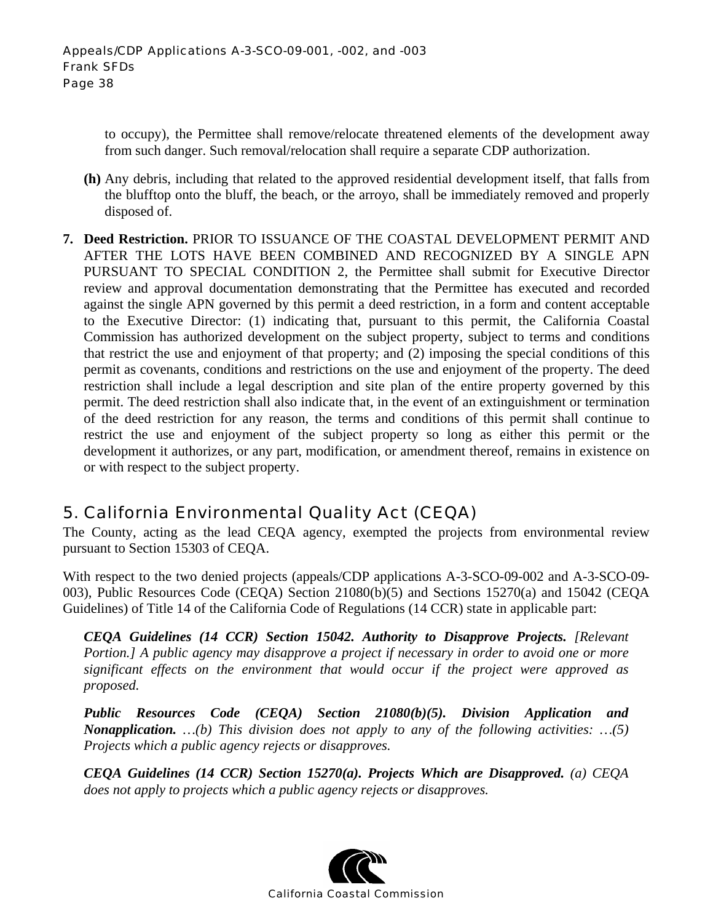to occupy), the Permittee shall remove/relocate threatened elements of the development away from such danger. Such removal/relocation shall require a separate CDP authorization.

- **(h)** Any debris, including that related to the approved residential development itself, that falls from the blufftop onto the bluff, the beach, or the arroyo, shall be immediately removed and properly disposed of.
- **7. Deed Restriction.** PRIOR TO ISSUANCE OF THE COASTAL DEVELOPMENT PERMIT AND AFTER THE LOTS HAVE BEEN COMBINED AND RECOGNIZED BY A SINGLE APN PURSUANT TO SPECIAL CONDITION 2, the Permittee shall submit for Executive Director review and approval documentation demonstrating that the Permittee has executed and recorded against the single APN governed by this permit a deed restriction, in a form and content acceptable to the Executive Director: (1) indicating that, pursuant to this permit, the California Coastal Commission has authorized development on the subject property, subject to terms and conditions that restrict the use and enjoyment of that property; and (2) imposing the special conditions of this permit as covenants, conditions and restrictions on the use and enjoyment of the property. The deed restriction shall include a legal description and site plan of the entire property governed by this permit. The deed restriction shall also indicate that, in the event of an extinguishment or termination of the deed restriction for any reason, the terms and conditions of this permit shall continue to restrict the use and enjoyment of the subject property so long as either this permit or the development it authorizes, or any part, modification, or amendment thereof, remains in existence on or with respect to the subject property.

# 5. California Environmental Quality Act (CEQA)

The County, acting as the lead CEQA agency, exempted the projects from environmental review pursuant to Section 15303 of CEQA.

With respect to the two denied projects (appeals/CDP applications A-3-SCO-09-002 and A-3-SCO-09- 003), Public Resources Code (CEQA) Section 21080(b)(5) and Sections 15270(a) and 15042 (CEQA Guidelines) of Title 14 of the California Code of Regulations (14 CCR) state in applicable part:

*CEQA Guidelines (14 CCR) Section 15042. Authority to Disapprove Projects. [Relevant Portion.] A public agency may disapprove a project if necessary in order to avoid one or more significant effects on the environment that would occur if the project were approved as proposed.* 

*Public Resources Code (CEQA) Section 21080(b)(5). Division Application and Nonapplication. …(b) This division does not apply to any of the following activities: …(5) Projects which a public agency rejects or disapproves.* 

*CEQA Guidelines (14 CCR) Section 15270(a). Projects Which are Disapproved. (a) CEQA does not apply to projects which a public agency rejects or disapproves.*